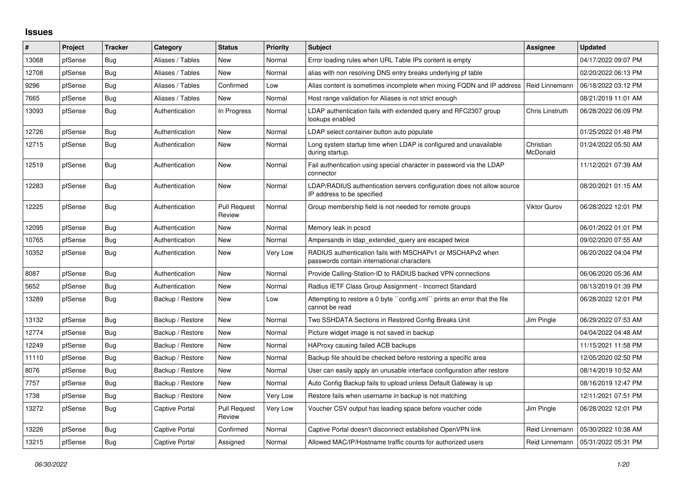## **Issues**

| #     | Project | <b>Tracker</b> | Category         | <b>Status</b>                 | <b>Priority</b> | <b>Subject</b>                                                                                           | Assignee               | <b>Updated</b>                       |
|-------|---------|----------------|------------------|-------------------------------|-----------------|----------------------------------------------------------------------------------------------------------|------------------------|--------------------------------------|
| 13068 | pfSense | Bug            | Aliases / Tables | <b>New</b>                    | Normal          | Error loading rules when URL Table IPs content is empty                                                  |                        | 04/17/2022 09:07 PM                  |
| 12708 | pfSense | <b>Bug</b>     | Aliases / Tables | <b>New</b>                    | Normal          | alias with non resolving DNS entry breaks underlying pf table                                            |                        | 02/20/2022 06:13 PM                  |
| 9296  | pfSense | Bug            | Aliases / Tables | Confirmed                     | Low             | Alias content is sometimes incomplete when mixing FQDN and IP address                                    | Reid Linnemann         | 06/18/2022 03:12 PM                  |
| 7665  | pfSense | <b>Bug</b>     | Aliases / Tables | New                           | Normal          | Host range validation for Aliases is not strict enough                                                   |                        | 08/21/2019 11:01 AM                  |
| 13093 | pfSense | Bug            | Authentication   | In Progress                   | Normal          | LDAP authentication fails with extended query and RFC2307 group<br>lookups enabled                       | <b>Chris Linstruth</b> | 06/28/2022 06:09 PM                  |
| 12726 | pfSense | <b>Bug</b>     | Authentication   | New                           | Normal          | LDAP select container button auto populate                                                               |                        | 01/25/2022 01:48 PM                  |
| 12715 | pfSense | Bug            | Authentication   | <b>New</b>                    | Normal          | Long system startup time when LDAP is configured and unavailable<br>during startup.                      | Christian<br>McDonald  | 01/24/2022 05:50 AM                  |
| 12519 | pfSense | Bug            | Authentication   | New                           | Normal          | Fail authentication using special character in password via the LDAP<br>connector                        |                        | 11/12/2021 07:39 AM                  |
| 12283 | pfSense | <b>Bug</b>     | Authentication   | <b>New</b>                    | Normal          | LDAP/RADIUS authentication servers configuration does not allow source<br>IP address to be specified     |                        | 08/20/2021 01:15 AM                  |
| 12225 | pfSense | <b>Bug</b>     | Authentication   | <b>Pull Request</b><br>Review | Normal          | Group membership field is not needed for remote groups                                                   | Viktor Gurov           | 06/28/2022 12:01 PM                  |
| 12095 | pfSense | Bug            | Authentication   | <b>New</b>                    | Normal          | Memory leak in pcscd                                                                                     |                        | 06/01/2022 01:01 PM                  |
| 10765 | pfSense | <b>Bug</b>     | Authentication   | New                           | Normal          | Ampersands in Idap extended query are escaped twice                                                      |                        | 09/02/2020 07:55 AM                  |
| 10352 | pfSense | <b>Bug</b>     | Authentication   | New                           | Very Low        | RADIUS authentication fails with MSCHAPv1 or MSCHAPv2 when<br>passwords contain international characters |                        | 06/20/2022 04:04 PM                  |
| 8087  | pfSense | <b>Bug</b>     | Authentication   | <b>New</b>                    | Normal          | Provide Calling-Station-ID to RADIUS backed VPN connections                                              |                        | 06/06/2020 05:36 AM                  |
| 5652  | pfSense | <b>Bug</b>     | Authentication   | New                           | Normal          | Radius IETF Class Group Assignment - Incorrect Standard                                                  |                        | 08/13/2019 01:39 PM                  |
| 13289 | pfSense | <b>Bug</b>     | Backup / Restore | New                           | Low             | Attempting to restore a 0 byte ``config.xml`` prints an error that the file<br>cannot be read            |                        | 06/28/2022 12:01 PM                  |
| 13132 | pfSense | <b>Bug</b>     | Backup / Restore | New                           | Normal          | Two SSHDATA Sections in Restored Config Breaks Unit                                                      | Jim Pingle             | 06/29/2022 07:53 AM                  |
| 12774 | pfSense | <b>Bug</b>     | Backup / Restore | New                           | Normal          | Picture widget image is not saved in backup                                                              |                        | 04/04/2022 04:48 AM                  |
| 12249 | pfSense | Bug            | Backup / Restore | <b>New</b>                    | Normal          | HAProxy causing failed ACB backups                                                                       |                        | 11/15/2021 11:58 PM                  |
| 11110 | pfSense | <b>Bug</b>     | Backup / Restore | New                           | Normal          | Backup file should be checked before restoring a specific area                                           |                        | 12/05/2020 02:50 PM                  |
| 8076  | pfSense | <b>Bug</b>     | Backup / Restore | New                           | Normal          | User can easily apply an unusable interface configuration after restore                                  |                        | 08/14/2019 10:52 AM                  |
| 7757  | pfSense | <b>Bug</b>     | Backup / Restore | New                           | Normal          | Auto Config Backup fails to upload unless Default Gateway is up                                          |                        | 08/16/2019 12:47 PM                  |
| 1738  | pfSense | Bug            | Backup / Restore | New                           | Very Low        | Restore fails when username in backup is not matching                                                    |                        | 12/11/2021 07:51 PM                  |
| 13272 | pfSense | <b>Bug</b>     | Captive Portal   | <b>Pull Request</b><br>Review | Very Low        | Voucher CSV output has leading space before voucher code                                                 | Jim Pingle             | 06/28/2022 12:01 PM                  |
| 13226 | pfSense | Bug            | Captive Portal   | Confirmed                     | Normal          | Captive Portal doesn't disconnect established OpenVPN link                                               | Reid Linnemann         | 05/30/2022 10:38 AM                  |
| 13215 | pfSense | <b>Bug</b>     | Captive Portal   | Assigned                      | Normal          | Allowed MAC/IP/Hostname traffic counts for authorized users                                              |                        | Reid Linnemann   05/31/2022 05:31 PM |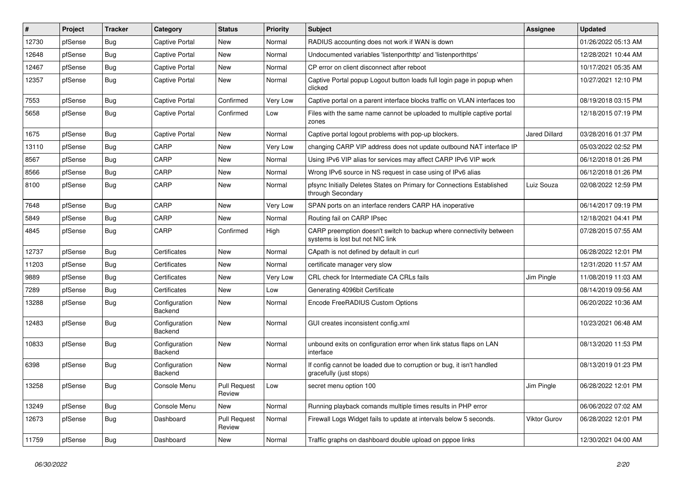| $\vert$ # | Project | <b>Tracker</b> | Category                 | <b>Status</b>          | <b>Priority</b> | <b>Subject</b>                                                                                          | <b>Assignee</b>      | <b>Updated</b>      |
|-----------|---------|----------------|--------------------------|------------------------|-----------------|---------------------------------------------------------------------------------------------------------|----------------------|---------------------|
| 12730     | pfSense | Bug            | Captive Portal           | New                    | Normal          | RADIUS accounting does not work if WAN is down                                                          |                      | 01/26/2022 05:13 AM |
| 12648     | pfSense | Bug            | <b>Captive Portal</b>    | New                    | Normal          | Undocumented variables 'listenporthttp' and 'listenporthttps'                                           |                      | 12/28/2021 10:44 AM |
| 12467     | pfSense | <b>Bug</b>     | Captive Portal           | New                    | Normal          | CP error on client disconnect after reboot                                                              |                      | 10/17/2021 05:35 AM |
| 12357     | pfSense | <b>Bug</b>     | Captive Portal           | New                    | Normal          | Captive Portal popup Logout button loads full login page in popup when<br>clicked                       |                      | 10/27/2021 12:10 PM |
| 7553      | pfSense | Bug            | Captive Portal           | Confirmed              | Very Low        | Captive portal on a parent interface blocks traffic on VLAN interfaces too                              |                      | 08/19/2018 03:15 PM |
| 5658      | pfSense | <b>Bug</b>     | <b>Captive Portal</b>    | Confirmed              | Low             | Files with the same name cannot be uploaded to multiple captive portal<br>zones                         |                      | 12/18/2015 07:19 PM |
| 1675      | pfSense | Bug            | <b>Captive Portal</b>    | <b>New</b>             | Normal          | Captive portal logout problems with pop-up blockers.                                                    | <b>Jared Dillard</b> | 03/28/2016 01:37 PM |
| 13110     | pfSense | Bug            | CARP                     | <b>New</b>             | Very Low        | changing CARP VIP address does not update outbound NAT interface IP                                     |                      | 05/03/2022 02:52 PM |
| 8567      | pfSense | <b>Bug</b>     | CARP                     | New                    | Normal          | Using IPv6 VIP alias for services may affect CARP IPv6 VIP work                                         |                      | 06/12/2018 01:26 PM |
| 8566      | pfSense | Bug            | CARP                     | New                    | Normal          | Wrong IPv6 source in NS request in case using of IPv6 alias                                             |                      | 06/12/2018 01:26 PM |
| 8100      | pfSense | Bug            | CARP                     | <b>New</b>             | Normal          | pfsync Initially Deletes States on Primary for Connections Established<br>through Secondary             | Luiz Souza           | 02/08/2022 12:59 PM |
| 7648      | pfSense | <b>Bug</b>     | CARP                     | New                    | Very Low        | SPAN ports on an interface renders CARP HA inoperative                                                  |                      | 06/14/2017 09:19 PM |
| 5849      | pfSense | Bug            | CARP                     | <b>New</b>             | Normal          | Routing fail on CARP IPsec                                                                              |                      | 12/18/2021 04:41 PM |
| 4845      | pfSense | Bug            | CARP                     | Confirmed              | High            | CARP preemption doesn't switch to backup where connectivity between<br>systems is lost but not NIC link |                      | 07/28/2015 07:55 AM |
| 12737     | pfSense | <b>Bug</b>     | Certificates             | New                    | Normal          | CApath is not defined by default in curl                                                                |                      | 06/28/2022 12:01 PM |
| 11203     | pfSense | Bug            | Certificates             | New                    | Normal          | certificate manager very slow                                                                           |                      | 12/31/2020 11:57 AM |
| 9889      | pfSense | <b>Bug</b>     | Certificates             | <b>New</b>             | Very Low        | CRL check for Intermediate CA CRLs fails                                                                | Jim Pingle           | 11/08/2019 11:03 AM |
| 7289      | pfSense | <b>Bug</b>     | Certificates             | New                    | Low             | Generating 4096bit Certificate                                                                          |                      | 08/14/2019 09:56 AM |
| 13288     | pfSense | Bug            | Configuration<br>Backend | New                    | Normal          | Encode FreeRADIUS Custom Options                                                                        |                      | 06/20/2022 10:36 AM |
| 12483     | pfSense | Bug            | Configuration<br>Backend | New                    | Normal          | GUI creates inconsistent config.xml                                                                     |                      | 10/23/2021 06:48 AM |
| 10833     | pfSense | <b>Bug</b>     | Configuration<br>Backend | <b>New</b>             | Normal          | unbound exits on configuration error when link status flaps on LAN<br>interface                         |                      | 08/13/2020 11:53 PM |
| 6398      | pfSense | <b>Bug</b>     | Configuration<br>Backend | New                    | Normal          | If config cannot be loaded due to corruption or bug, it isn't handled<br>gracefully (just stops)        |                      | 08/13/2019 01:23 PM |
| 13258     | pfSense | <b>Bug</b>     | Console Menu             | Pull Request<br>Review | Low             | secret menu option 100                                                                                  | Jim Pingle           | 06/28/2022 12:01 PM |
| 13249     | pfSense | Bug            | Console Menu             | New                    | Normal          | Running playback comands multiple times results in PHP error                                            |                      | 06/06/2022 07:02 AM |
| 12673     | pfSense | <b>Bug</b>     | Dashboard                | Pull Request<br>Review | Normal          | Firewall Logs Widget fails to update at intervals below 5 seconds.                                      | Viktor Gurov         | 06/28/2022 12:01 PM |
| 11759     | pfSense | Bug            | Dashboard                | New                    | Normal          | Traffic graphs on dashboard double upload on pppoe links                                                |                      | 12/30/2021 04:00 AM |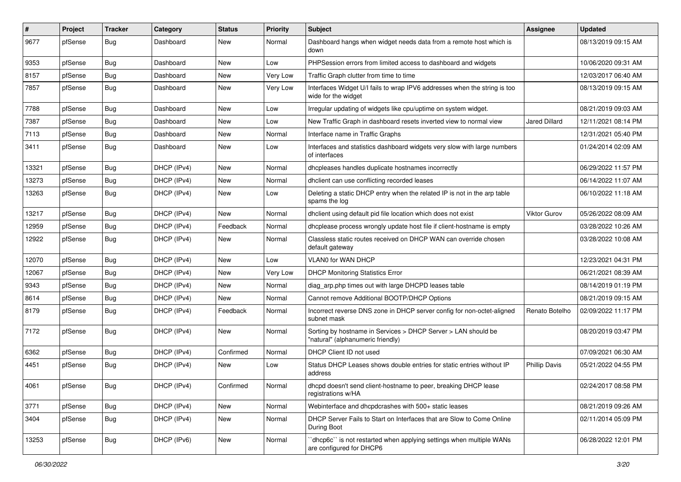| #     | Project | <b>Tracker</b> | Category    | <b>Status</b> | <b>Priority</b> | Subject                                                                                            | Assignee             | <b>Updated</b>      |
|-------|---------|----------------|-------------|---------------|-----------------|----------------------------------------------------------------------------------------------------|----------------------|---------------------|
| 9677  | pfSense | <b>Bug</b>     | Dashboard   | New           | Normal          | Dashboard hangs when widget needs data from a remote host which is<br>down                         |                      | 08/13/2019 09:15 AM |
| 9353  | pfSense | Bug            | Dashboard   | New           | Low             | PHPSession errors from limited access to dashboard and widgets                                     |                      | 10/06/2020 09:31 AM |
| 8157  | pfSense | Bug            | Dashboard   | New           | Very Low        | Traffic Graph clutter from time to time                                                            |                      | 12/03/2017 06:40 AM |
| 7857  | pfSense | Bug            | Dashboard   | New           | Very Low        | Interfaces Widget U/I fails to wrap IPV6 addresses when the string is too<br>wide for the widget   |                      | 08/13/2019 09:15 AM |
| 7788  | pfSense | Bug            | Dashboard   | New           | Low             | Irregular updating of widgets like cpu/uptime on system widget.                                    |                      | 08/21/2019 09:03 AM |
| 7387  | pfSense | Bug            | Dashboard   | New           | Low             | New Traffic Graph in dashboard resets inverted view to normal view                                 | <b>Jared Dillard</b> | 12/11/2021 08:14 PM |
| 7113  | pfSense | <b>Bug</b>     | Dashboard   | New           | Normal          | Interface name in Traffic Graphs                                                                   |                      | 12/31/2021 05:40 PM |
| 3411  | pfSense | Bug            | Dashboard   | New           | Low             | Interfaces and statistics dashboard widgets very slow with large numbers<br>of interfaces          |                      | 01/24/2014 02:09 AM |
| 13321 | pfSense | Bug            | DHCP (IPv4) | <b>New</b>    | Normal          | dhcpleases handles duplicate hostnames incorrectly                                                 |                      | 06/29/2022 11:57 PM |
| 13273 | pfSense | Bug            | DHCP (IPv4) | New           | Normal          | dhclient can use conflicting recorded leases                                                       |                      | 06/14/2022 11:07 AM |
| 13263 | pfSense | Bug            | DHCP (IPv4) | New           | Low             | Deleting a static DHCP entry when the related IP is not in the arp table<br>spams the log          |                      | 06/10/2022 11:18 AM |
| 13217 | pfSense | Bug            | DHCP (IPv4) | <b>New</b>    | Normal          | dhclient using default pid file location which does not exist                                      | Viktor Gurov         | 05/26/2022 08:09 AM |
| 12959 | pfSense | Bug            | DHCP (IPv4) | Feedback      | Normal          | dhcplease process wrongly update host file if client-hostname is empty                             |                      | 03/28/2022 10:26 AM |
| 12922 | pfSense | <b>Bug</b>     | DHCP (IPv4) | New           | Normal          | Classless static routes received on DHCP WAN can override chosen<br>default gateway                |                      | 03/28/2022 10:08 AM |
| 12070 | pfSense | Bug            | DHCP (IPv4) | New           | Low             | VLAN0 for WAN DHCP                                                                                 |                      | 12/23/2021 04:31 PM |
| 12067 | pfSense | Bug            | DHCP (IPv4) | New           | Very Low        | <b>DHCP Monitoring Statistics Error</b>                                                            |                      | 06/21/2021 08:39 AM |
| 9343  | pfSense | <b>Bug</b>     | DHCP (IPv4) | New           | Normal          | diag_arp.php times out with large DHCPD leases table                                               |                      | 08/14/2019 01:19 PM |
| 8614  | pfSense | Bug            | DHCP (IPv4) | New           | Normal          | Cannot remove Additional BOOTP/DHCP Options                                                        |                      | 08/21/2019 09:15 AM |
| 8179  | pfSense | Bug            | DHCP (IPv4) | Feedback      | Normal          | Incorrect reverse DNS zone in DHCP server config for non-octet-aligned<br>subnet mask              | Renato Botelho       | 02/09/2022 11:17 PM |
| 7172  | pfSense | Bug            | DHCP (IPv4) | New           | Normal          | Sorting by hostname in Services > DHCP Server > LAN should be<br>"natural" (alphanumeric friendly) |                      | 08/20/2019 03:47 PM |
| 6362  | pfSense | <b>Bug</b>     | DHCP (IPv4) | Confirmed     | Normal          | DHCP Client ID not used                                                                            |                      | 07/09/2021 06:30 AM |
| 4451  | pfSense | <b>Bug</b>     | DHCP (IPv4) | New           | Low             | Status DHCP Leases shows double entries for static entries without IP<br>address                   | <b>Phillip Davis</b> | 05/21/2022 04:55 PM |
| 4061  | pfSense | <b>Bug</b>     | DHCP (IPv4) | Confirmed     | Normal          | dhcpd doesn't send client-hostname to peer, breaking DHCP lease<br>registrations w/HA              |                      | 02/24/2017 08:58 PM |
| 3771  | pfSense | Bug            | DHCP (IPv4) | New           | Normal          | Webinterface and dhcpdcrashes with 500+ static leases                                              |                      | 08/21/2019 09:26 AM |
| 3404  | pfSense | <b>Bug</b>     | DHCP (IPv4) | New           | Normal          | DHCP Server Fails to Start on Interfaces that are Slow to Come Online<br>During Boot               |                      | 02/11/2014 05:09 PM |
| 13253 | pfSense | <b>Bug</b>     | DHCP (IPv6) | New           | Normal          | dhcp6c" is not restarted when applying settings when multiple WANs<br>are configured for DHCP6     |                      | 06/28/2022 12:01 PM |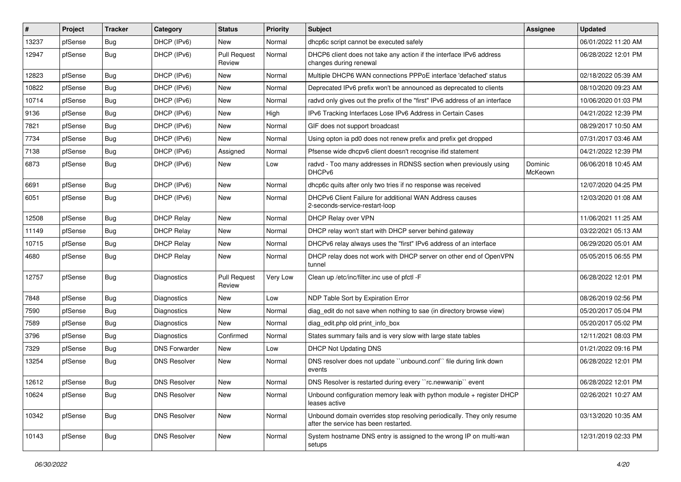| $\vert$ # | Project | <b>Tracker</b> | Category             | <b>Status</b>                 | <b>Priority</b> | <b>Subject</b>                                                                                                  | <b>Assignee</b>    | <b>Updated</b>      |
|-----------|---------|----------------|----------------------|-------------------------------|-----------------|-----------------------------------------------------------------------------------------------------------------|--------------------|---------------------|
| 13237     | pfSense | <b>Bug</b>     | DHCP (IPv6)          | New                           | Normal          | dhcp6c script cannot be executed safely                                                                         |                    | 06/01/2022 11:20 AM |
| 12947     | pfSense | Bug            | DHCP (IPv6)          | <b>Pull Request</b><br>Review | Normal          | DHCP6 client does not take any action if the interface IPv6 address<br>changes during renewal                   |                    | 06/28/2022 12:01 PM |
| 12823     | pfSense | Bug            | DHCP (IPv6)          | New                           | Normal          | Multiple DHCP6 WAN connections PPPoE interface 'defached' status                                                |                    | 02/18/2022 05:39 AM |
| 10822     | pfSense | Bug            | DHCP (IPv6)          | New                           | Normal          | Deprecated IPv6 prefix won't be announced as deprecated to clients                                              |                    | 08/10/2020 09:23 AM |
| 10714     | pfSense | Bug            | DHCP (IPv6)          | <b>New</b>                    | Normal          | radvd only gives out the prefix of the "first" IPv6 address of an interface                                     |                    | 10/06/2020 01:03 PM |
| 9136      | pfSense | <b>Bug</b>     | DHCP (IPv6)          | New                           | High            | IPv6 Tracking Interfaces Lose IPv6 Address in Certain Cases                                                     |                    | 04/21/2022 12:39 PM |
| 7821      | pfSense | Bug            | DHCP (IPv6)          | New                           | Normal          | GIF does not support broadcast                                                                                  |                    | 08/29/2017 10:50 AM |
| 7734      | pfSense | <b>Bug</b>     | DHCP (IPv6)          | New                           | Normal          | Using opton ia pd0 does not renew prefix and prefix get dropped                                                 |                    | 07/31/2017 03:46 AM |
| 7138      | pfSense | Bug            | DHCP (IPv6)          | Assigned                      | Normal          | Pfsense wide dhcpv6 client doesn't recognise ifid statement                                                     |                    | 04/21/2022 12:39 PM |
| 6873      | pfSense | Bug            | DHCP (IPv6)          | New                           | Low             | radvd - Too many addresses in RDNSS section when previously using<br>DHCP <sub>v6</sub>                         | Dominic<br>McKeown | 06/06/2018 10:45 AM |
| 6691      | pfSense | Bug            | DHCP (IPv6)          | New                           | Normal          | dhcp6c quits after only two tries if no response was received                                                   |                    | 12/07/2020 04:25 PM |
| 6051      | pfSense | <b>Bug</b>     | DHCP (IPv6)          | New                           | Normal          | DHCPv6 Client Failure for additional WAN Address causes<br>2-seconds-service-restart-loop                       |                    | 12/03/2020 01:08 AM |
| 12508     | pfSense | Bug            | <b>DHCP Relay</b>    | New                           | Normal          | DHCP Relay over VPN                                                                                             |                    | 11/06/2021 11:25 AM |
| 11149     | pfSense | Bug            | <b>DHCP Relay</b>    | New                           | Normal          | DHCP relay won't start with DHCP server behind gateway                                                          |                    | 03/22/2021 05:13 AM |
| 10715     | pfSense | Bug            | <b>DHCP Relay</b>    | <b>New</b>                    | Normal          | DHCPv6 relay always uses the "first" IPv6 address of an interface                                               |                    | 06/29/2020 05:01 AM |
| 4680      | pfSense | Bug            | <b>DHCP Relay</b>    | New                           | Normal          | DHCP relay does not work with DHCP server on other end of OpenVPN<br>tunnel                                     |                    | 05/05/2015 06:55 PM |
| 12757     | pfSense | Bug            | Diagnostics          | <b>Pull Request</b><br>Review | Very Low        | Clean up /etc/inc/filter.inc use of pfctl -F                                                                    |                    | 06/28/2022 12:01 PM |
| 7848      | pfSense | Bug            | Diagnostics          | New                           | Low             | NDP Table Sort by Expiration Error                                                                              |                    | 08/26/2019 02:56 PM |
| 7590      | pfSense | Bug            | Diagnostics          | <b>New</b>                    | Normal          | diag_edit do not save when nothing to sae (in directory browse view)                                            |                    | 05/20/2017 05:04 PM |
| 7589      | pfSense | Bug            | Diagnostics          | New                           | Normal          | diag edit.php old print info box                                                                                |                    | 05/20/2017 05:02 PM |
| 3796      | pfSense | Bug            | Diagnostics          | Confirmed                     | Normal          | States summary fails and is very slow with large state tables                                                   |                    | 12/11/2021 08:03 PM |
| 7329      | pfSense | <b>Bug</b>     | <b>DNS Forwarder</b> | New                           | Low             | <b>DHCP Not Updating DNS</b>                                                                                    |                    | 01/21/2022 09:16 PM |
| 13254     | pfSense | Bug            | <b>DNS Resolver</b>  | New                           | Normal          | DNS resolver does not update "unbound.conf" file during link down<br>events                                     |                    | 06/28/2022 12:01 PM |
| 12612     | pfSense | Bug            | <b>DNS Resolver</b>  | New                           | Normal          | DNS Resolver is restarted during every "rc.newwanip" event                                                      |                    | 06/28/2022 12:01 PM |
| 10624     | pfSense | Bug            | <b>DNS Resolver</b>  | New                           | Normal          | Unbound configuration memory leak with python module + register DHCP<br>leases active                           |                    | 02/26/2021 10:27 AM |
| 10342     | pfSense | <b>Bug</b>     | <b>DNS Resolver</b>  | New                           | Normal          | Unbound domain overrides stop resolving periodically. They only resume<br>after the service has been restarted. |                    | 03/13/2020 10:35 AM |
| 10143     | pfSense | <b>Bug</b>     | <b>DNS Resolver</b>  | New                           | Normal          | System hostname DNS entry is assigned to the wrong IP on multi-wan<br>setups                                    |                    | 12/31/2019 02:33 PM |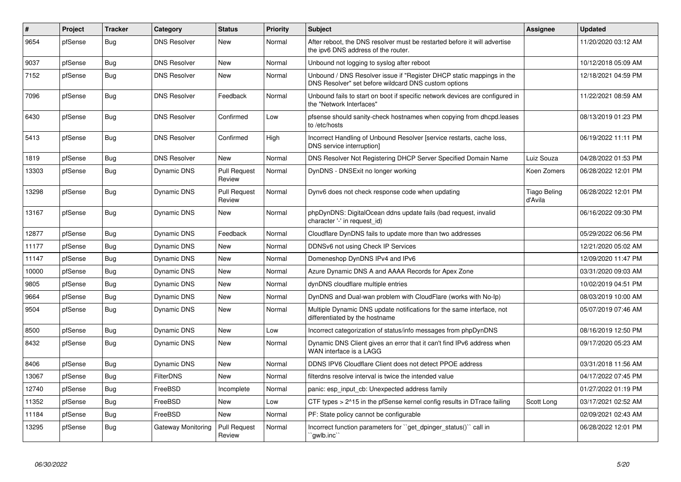| $\sharp$ | Project | <b>Tracker</b> | Category            | <b>Status</b>                 | Priority | <b>Subject</b>                                                                                                                | Assignee                       | <b>Updated</b>      |
|----------|---------|----------------|---------------------|-------------------------------|----------|-------------------------------------------------------------------------------------------------------------------------------|--------------------------------|---------------------|
| 9654     | pfSense | Bug            | <b>DNS Resolver</b> | <b>New</b>                    | Normal   | After reboot, the DNS resolver must be restarted before it will advertise<br>the ipv6 DNS address of the router.              |                                | 11/20/2020 03:12 AM |
| 9037     | pfSense | <b>Bug</b>     | <b>DNS Resolver</b> | New                           | Normal   | Unbound not logging to syslog after reboot                                                                                    |                                | 10/12/2018 05:09 AM |
| 7152     | pfSense | <b>Bug</b>     | <b>DNS Resolver</b> | <b>New</b>                    | Normal   | Unbound / DNS Resolver issue if "Register DHCP static mappings in the<br>DNS Resolver" set before wildcard DNS custom options |                                | 12/18/2021 04:59 PM |
| 7096     | pfSense | <b>Bug</b>     | <b>DNS Resolver</b> | Feedback                      | Normal   | Unbound fails to start on boot if specific network devices are configured in<br>the "Network Interfaces"                      |                                | 11/22/2021 08:59 AM |
| 6430     | pfSense | <b>Bug</b>     | <b>DNS Resolver</b> | Confirmed                     | Low      | pfsense should sanity-check hostnames when copying from dhcpd.leases<br>to /etc/hosts                                         |                                | 08/13/2019 01:23 PM |
| 5413     | pfSense | <b>Bug</b>     | <b>DNS Resolver</b> | Confirmed                     | High     | Incorrect Handling of Unbound Resolver [service restarts, cache loss,<br>DNS service interruption]                            |                                | 06/19/2022 11:11 PM |
| 1819     | pfSense | Bug            | <b>DNS Resolver</b> | <b>New</b>                    | Normal   | DNS Resolver Not Registering DHCP Server Specified Domain Name                                                                | Luiz Souza                     | 04/28/2022 01:53 PM |
| 13303    | pfSense | <b>Bug</b>     | Dynamic DNS         | <b>Pull Request</b><br>Review | Normal   | DynDNS - DNSExit no longer working                                                                                            | Koen Zomers                    | 06/28/2022 12:01 PM |
| 13298    | pfSense | <b>Bug</b>     | Dynamic DNS         | <b>Pull Request</b><br>Review | Normal   | Dynv6 does not check response code when updating                                                                              | <b>Tiago Beling</b><br>d'Avila | 06/28/2022 12:01 PM |
| 13167    | pfSense | Bug            | Dynamic DNS         | <b>New</b>                    | Normal   | phpDynDNS: DigitalOcean ddns update fails (bad request, invalid<br>character '-' in request id)                               |                                | 06/16/2022 09:30 PM |
| 12877    | pfSense | <b>Bug</b>     | Dynamic DNS         | Feedback                      | Normal   | Cloudflare DynDNS fails to update more than two addresses                                                                     |                                | 05/29/2022 06:56 PM |
| 11177    | pfSense | <b>Bug</b>     | Dynamic DNS         | <b>New</b>                    | Normal   | DDNSv6 not using Check IP Services                                                                                            |                                | 12/21/2020 05:02 AM |
| 11147    | pfSense | <b>Bug</b>     | <b>Dynamic DNS</b>  | <b>New</b>                    | Normal   | Domeneshop DynDNS IPv4 and IPv6                                                                                               |                                | 12/09/2020 11:47 PM |
| 10000    | pfSense | <b>Bug</b>     | Dynamic DNS         | <b>New</b>                    | Normal   | Azure Dynamic DNS A and AAAA Records for Apex Zone                                                                            |                                | 03/31/2020 09:03 AM |
| 9805     | pfSense | Bug            | Dynamic DNS         | <b>New</b>                    | Normal   | dynDNS cloudflare multiple entries                                                                                            |                                | 10/02/2019 04:51 PM |
| 9664     | pfSense | <b>Bug</b>     | Dynamic DNS         | <b>New</b>                    | Normal   | DynDNS and Dual-wan problem with CloudFlare (works with No-lp)                                                                |                                | 08/03/2019 10:00 AM |
| 9504     | pfSense | <b>Bug</b>     | Dynamic DNS         | <b>New</b>                    | Normal   | Multiple Dynamic DNS update notifications for the same interface, not<br>differentiated by the hostname                       |                                | 05/07/2019 07:46 AM |
| 8500     | pfSense | <b>Bug</b>     | Dynamic DNS         | <b>New</b>                    | Low      | Incorrect categorization of status/info messages from phpDynDNS                                                               |                                | 08/16/2019 12:50 PM |
| 8432     | pfSense | Bug            | Dynamic DNS         | <b>New</b>                    | Normal   | Dynamic DNS Client gives an error that it can't find IPv6 address when<br>WAN interface is a LAGG                             |                                | 09/17/2020 05:23 AM |
| 8406     | pfSense | Bug            | <b>Dynamic DNS</b>  | <b>New</b>                    | Normal   | DDNS IPV6 Cloudflare Client does not detect PPOE address                                                                      |                                | 03/31/2018 11:56 AM |
| 13067    | pfSense | <b>Bug</b>     | <b>FilterDNS</b>    | <b>New</b>                    | Normal   | filterdns resolve interval is twice the intended value                                                                        |                                | 04/17/2022 07:45 PM |
| 12740    | pfSense | <b>Bug</b>     | FreeBSD             | Incomplete                    | Normal   | panic: esp input cb: Unexpected address family                                                                                |                                | 01/27/2022 01:19 PM |
| 11352    | pfSense | <b>Bug</b>     | FreeBSD             | <b>New</b>                    | Low      | CTF types > 2^15 in the pfSense kernel config results in DTrace failing                                                       | Scott Long                     | 03/17/2021 02:52 AM |
| 11184    | pfSense | Bug            | FreeBSD             | <b>New</b>                    | Normal   | PF: State policy cannot be configurable                                                                                       |                                | 02/09/2021 02:43 AM |
| 13295    | pfSense | <b>Bug</b>     | Gateway Monitoring  | <b>Pull Request</b><br>Review | Normal   | Incorrect function parameters for "get_dpinger_status()" call in<br>`qwlb.inc``                                               |                                | 06/28/2022 12:01 PM |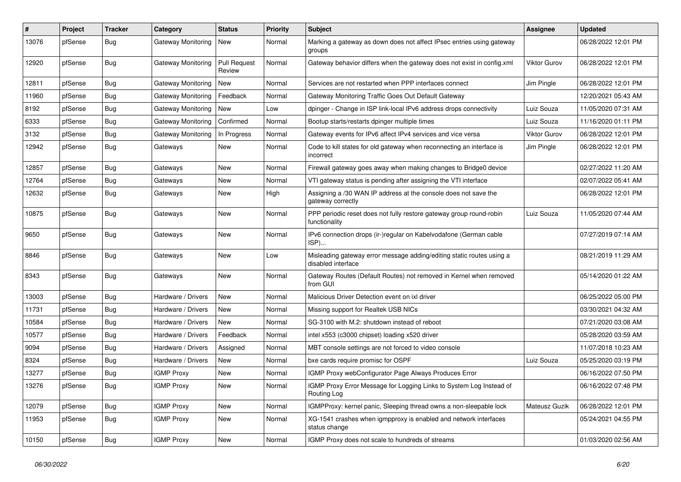| ∦     | Project | <b>Tracker</b> | Category                  | <b>Status</b>          | <b>Priority</b> | Subject                                                                                     | <b>Assignee</b> | <b>Updated</b>      |
|-------|---------|----------------|---------------------------|------------------------|-----------------|---------------------------------------------------------------------------------------------|-----------------|---------------------|
| 13076 | pfSense | Bug            | <b>Gateway Monitoring</b> | <b>New</b>             | Normal          | Marking a gateway as down does not affect IPsec entries using gateway<br>groups             |                 | 06/28/2022 12:01 PM |
| 12920 | pfSense | Bug            | <b>Gateway Monitoring</b> | Pull Request<br>Review | Normal          | Gateway behavior differs when the gateway does not exist in config.xml                      | Viktor Gurov    | 06/28/2022 12:01 PM |
| 12811 | pfSense | Bug            | <b>Gateway Monitoring</b> | <b>New</b>             | Normal          | Services are not restarted when PPP interfaces connect                                      | Jim Pingle      | 06/28/2022 12:01 PM |
| 11960 | pfSense | <b>Bug</b>     | <b>Gateway Monitoring</b> | Feedback               | Normal          | Gateway Monitoring Traffic Goes Out Default Gateway                                         |                 | 12/20/2021 05:43 AM |
| 8192  | pfSense | <b>Bug</b>     | Gateway Monitoring        | New                    | Low             | dpinger - Change in ISP link-local IPv6 address drops connectivity                          | Luiz Souza      | 11/05/2020 07:31 AM |
| 6333  | pfSense | Bug            | Gateway Monitoring        | Confirmed              | Normal          | Bootup starts/restarts dpinger multiple times                                               | Luiz Souza      | 11/16/2020 01:11 PM |
| 3132  | pfSense | Bug            | Gateway Monitoring        | In Progress            | Normal          | Gateway events for IPv6 affect IPv4 services and vice versa                                 | Viktor Gurov    | 06/28/2022 12:01 PM |
| 12942 | pfSense | <b>Bug</b>     | Gateways                  | New                    | Normal          | Code to kill states for old gateway when reconnecting an interface is<br>incorrect          | Jim Pingle      | 06/28/2022 12:01 PM |
| 12857 | pfSense | <b>Bug</b>     | Gateways                  | New                    | Normal          | Firewall gateway goes away when making changes to Bridge0 device                            |                 | 02/27/2022 11:20 AM |
| 12764 | pfSense | Bug            | Gateways                  | New                    | Normal          | VTI gateway status is pending after assigning the VTI interface                             |                 | 02/07/2022 05:41 AM |
| 12632 | pfSense | <b>Bug</b>     | Gateways                  | New                    | High            | Assigning a /30 WAN IP address at the console does not save the<br>gateway correctly        |                 | 06/28/2022 12:01 PM |
| 10875 | pfSense | Bug            | Gateways                  | New                    | Normal          | PPP periodic reset does not fully restore gateway group round-robin<br>functionality        | Luiz Souza      | 11/05/2020 07:44 AM |
| 9650  | pfSense | Bug            | Gateways                  | New                    | Normal          | IPv6 connection drops (ir-)regular on Kabelvodafone (German cable<br>ISP)                   |                 | 07/27/2019 07:14 AM |
| 8846  | pfSense | Bug            | Gateways                  | New                    | Low             | Misleading gateway error message adding/editing static routes using a<br>disabled interface |                 | 08/21/2019 11:29 AM |
| 8343  | pfSense | Bug            | Gateways                  | New                    | Normal          | Gateway Routes (Default Routes) not removed in Kernel when removed<br>from GUI              |                 | 05/14/2020 01:22 AM |
| 13003 | pfSense | Bug            | Hardware / Drivers        | New                    | Normal          | Malicious Driver Detection event on ixl driver                                              |                 | 06/25/2022 05:00 PM |
| 11731 | pfSense | <b>Bug</b>     | Hardware / Drivers        | New                    | Normal          | Missing support for Realtek USB NICs                                                        |                 | 03/30/2021 04:32 AM |
| 10584 | pfSense | Bug            | Hardware / Drivers        | New                    | Normal          | SG-3100 with M.2: shutdown instead of reboot                                                |                 | 07/21/2020 03:08 AM |
| 10577 | pfSense | <b>Bug</b>     | Hardware / Drivers        | Feedback               | Normal          | intel x553 (c3000 chipset) loading x520 driver                                              |                 | 05/28/2020 03:59 AM |
| 9094  | pfSense | Bug            | Hardware / Drivers        | Assigned               | Normal          | MBT console settings are not forced to video console                                        |                 | 11/07/2018 10:23 AM |
| 8324  | pfSense | Bug            | Hardware / Drivers        | New                    | Normal          | bxe cards require promisc for OSPF                                                          | Luiz Souza      | 05/25/2020 03:19 PM |
| 13277 | pfSense | Bug            | <b>IGMP Proxy</b>         | New                    | Normal          | IGMP Proxy webConfigurator Page Always Produces Error                                       |                 | 06/16/2022 07:50 PM |
| 13276 | pfSense | <b>Bug</b>     | <b>IGMP Proxy</b>         | New                    | Normal          | IGMP Proxy Error Message for Logging Links to System Log Instead of<br>Routing Log          |                 | 06/16/2022 07:48 PM |
| 12079 | pfSense | <b>Bug</b>     | <b>IGMP Proxy</b>         | New                    | Normal          | IGMPProxy: kernel panic, Sleeping thread owns a non-sleepable lock                          | Mateusz Guzik   | 06/28/2022 12:01 PM |
| 11953 | pfSense | <b>Bug</b>     | <b>IGMP Proxy</b>         | New                    | Normal          | XG-1541 crashes when igmpproxy is enabled and network interfaces<br>status change           |                 | 05/24/2021 04:55 PM |
| 10150 | pfSense | Bug            | <b>IGMP Proxy</b>         | New                    | Normal          | IGMP Proxy does not scale to hundreds of streams                                            |                 | 01/03/2020 02:56 AM |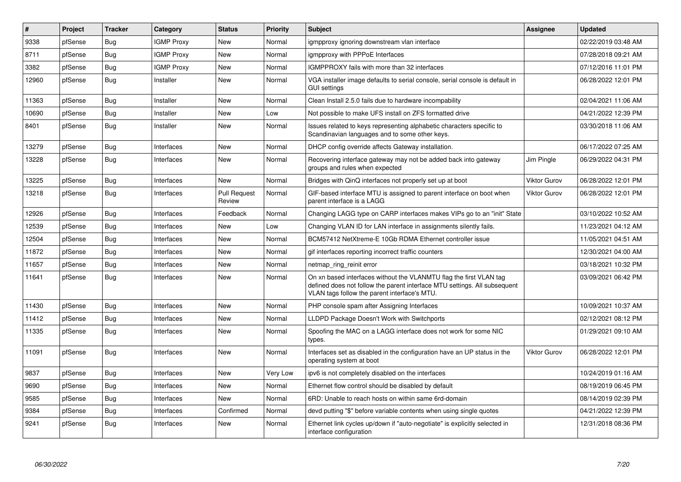| #     | Project | <b>Tracker</b> | Category          | <b>Status</b>          | <b>Priority</b> | <b>Subject</b>                                                                                                                                                                                  | Assignee            | <b>Updated</b>      |
|-------|---------|----------------|-------------------|------------------------|-----------------|-------------------------------------------------------------------------------------------------------------------------------------------------------------------------------------------------|---------------------|---------------------|
| 9338  | pfSense | Bug            | <b>IGMP Proxy</b> | New                    | Normal          | igmpproxy ignoring downstream vlan interface                                                                                                                                                    |                     | 02/22/2019 03:48 AM |
| 8711  | pfSense | Bug            | <b>IGMP Proxy</b> | New                    | Normal          | igmpproxy with PPPoE Interfaces                                                                                                                                                                 |                     | 07/28/2018 09:21 AM |
| 3382  | pfSense | Bug            | <b>IGMP Proxy</b> | New                    | Normal          | IGMPPROXY fails with more than 32 interfaces                                                                                                                                                    |                     | 07/12/2016 11:01 PM |
| 12960 | pfSense | <b>Bug</b>     | Installer         | New                    | Normal          | VGA installer image defaults to serial console, serial console is default in<br><b>GUI settings</b>                                                                                             |                     | 06/28/2022 12:01 PM |
| 11363 | pfSense | Bug            | Installer         | New                    | Normal          | Clean Install 2.5.0 fails due to hardware incompability                                                                                                                                         |                     | 02/04/2021 11:06 AM |
| 10690 | pfSense | Bug            | Installer         | New                    | Low             | Not possible to make UFS install on ZFS formatted drive                                                                                                                                         |                     | 04/21/2022 12:39 PM |
| 8401  | pfSense | Bug            | Installer         | New                    | Normal          | Issues related to keys representing alphabetic characters specific to<br>Scandinavian languages and to some other keys.                                                                         |                     | 03/30/2018 11:06 AM |
| 13279 | pfSense | <b>Bug</b>     | Interfaces        | New                    | Normal          | DHCP config override affects Gateway installation.                                                                                                                                              |                     | 06/17/2022 07:25 AM |
| 13228 | pfSense | <b>Bug</b>     | Interfaces        | New                    | Normal          | Recovering interface gateway may not be added back into gateway<br>groups and rules when expected                                                                                               | Jim Pingle          | 06/29/2022 04:31 PM |
| 13225 | pfSense | <b>Bug</b>     | Interfaces        | <b>New</b>             | Normal          | Bridges with QinQ interfaces not properly set up at boot                                                                                                                                        | Viktor Gurov        | 06/28/2022 12:01 PM |
| 13218 | pfSense | Bug            | Interfaces        | Pull Request<br>Review | Normal          | GIF-based interface MTU is assigned to parent interface on boot when<br>parent interface is a LAGG                                                                                              | <b>Viktor Gurov</b> | 06/28/2022 12:01 PM |
| 12926 | pfSense | Bug            | Interfaces        | Feedback               | Normal          | Changing LAGG type on CARP interfaces makes VIPs go to an "init" State                                                                                                                          |                     | 03/10/2022 10:52 AM |
| 12539 | pfSense | Bug            | Interfaces        | New                    | Low             | Changing VLAN ID for LAN interface in assignments silently fails.                                                                                                                               |                     | 11/23/2021 04:12 AM |
| 12504 | pfSense | <b>Bug</b>     | Interfaces        | New                    | Normal          | BCM57412 NetXtreme-E 10Gb RDMA Ethernet controller issue                                                                                                                                        |                     | 11/05/2021 04:51 AM |
| 11872 | pfSense | Bug            | Interfaces        | <b>New</b>             | Normal          | gif interfaces reporting incorrect traffic counters                                                                                                                                             |                     | 12/30/2021 04:00 AM |
| 11657 | pfSense | Bug            | Interfaces        | <b>New</b>             | Normal          | netmap_ring_reinit error                                                                                                                                                                        |                     | 03/18/2021 10:32 PM |
| 11641 | pfSense | <b>Bug</b>     | Interfaces        | <b>New</b>             | Normal          | On xn based interfaces without the VLANMTU flag the first VLAN tag<br>defined does not follow the parent interface MTU settings. All subsequent<br>VLAN tags follow the parent interface's MTU. |                     | 03/09/2021 06:42 PM |
| 11430 | pfSense | Bug            | Interfaces        | New                    | Normal          | PHP console spam after Assigning Interfaces                                                                                                                                                     |                     | 10/09/2021 10:37 AM |
| 11412 | pfSense | <b>Bug</b>     | Interfaces        | <b>New</b>             | Normal          | LLDPD Package Doesn't Work with Switchports                                                                                                                                                     |                     | 02/12/2021 08:12 PM |
| 11335 | pfSense | <b>Bug</b>     | Interfaces        | <b>New</b>             | Normal          | Spoofing the MAC on a LAGG interface does not work for some NIC<br>types.                                                                                                                       |                     | 01/29/2021 09:10 AM |
| 11091 | pfSense | <b>Bug</b>     | Interfaces        | <b>New</b>             | Normal          | Interfaces set as disabled in the configuration have an UP status in the<br>operating system at boot                                                                                            | <b>Viktor Gurov</b> | 06/28/2022 12:01 PM |
| 9837  | pfSense | Bug            | Interfaces        | New                    | Very Low        | ipv6 is not completely disabled on the interfaces                                                                                                                                               |                     | 10/24/2019 01:16 AM |
| 9690  | pfSense | Bug            | Interfaces        | <b>New</b>             | Normal          | Ethernet flow control should be disabled by default                                                                                                                                             |                     | 08/19/2019 06:45 PM |
| 9585  | pfSense | Bug            | Interfaces        | <b>New</b>             | Normal          | 6RD: Unable to reach hosts on within same 6rd-domain                                                                                                                                            |                     | 08/14/2019 02:39 PM |
| 9384  | pfSense | Bug            | Interfaces        | Confirmed              | Normal          | devd putting "\$" before variable contents when using single quotes                                                                                                                             |                     | 04/21/2022 12:39 PM |
| 9241  | pfSense | <b>Bug</b>     | Interfaces        | <b>New</b>             | Normal          | Ethernet link cycles up/down if "auto-negotiate" is explicitly selected in<br>interface configuration                                                                                           |                     | 12/31/2018 08:36 PM |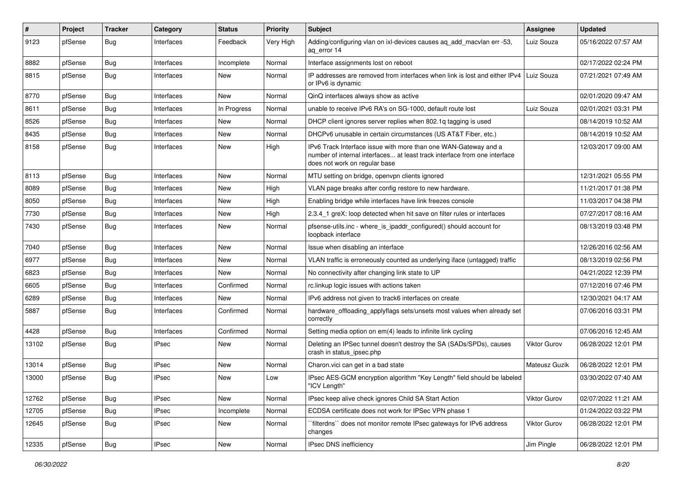| #     | Project | <b>Tracker</b> | Category     | <b>Status</b> | <b>Priority</b> | <b>Subject</b>                                                                                                                                                                | <b>Assignee</b> | <b>Updated</b>      |
|-------|---------|----------------|--------------|---------------|-----------------|-------------------------------------------------------------------------------------------------------------------------------------------------------------------------------|-----------------|---------------------|
| 9123  | pfSense | Bug            | Interfaces   | Feedback      | Very High       | Adding/configuring vlan on ixl-devices causes ag add macvlan err -53,<br>ag error 14                                                                                          | Luiz Souza      | 05/16/2022 07:57 AM |
| 8882  | pfSense | Bug            | Interfaces   | Incomplete    | Normal          | Interface assignments lost on reboot                                                                                                                                          |                 | 02/17/2022 02:24 PM |
| 8815  | pfSense | Bug            | Interfaces   | New           | Normal          | IP addresses are removed from interfaces when link is lost and either IPv4<br>or IPv6 is dynamic                                                                              | Luiz Souza      | 07/21/2021 07:49 AM |
| 8770  | pfSense | Bug            | Interfaces   | New           | Normal          | QinQ interfaces always show as active                                                                                                                                         |                 | 02/01/2020 09:47 AM |
| 8611  | pfSense | <b>Bug</b>     | Interfaces   | In Progress   | Normal          | unable to receive IPv6 RA's on SG-1000, default route lost                                                                                                                    | Luiz Souza      | 02/01/2021 03:31 PM |
| 8526  | pfSense | Bug            | Interfaces   | New           | Normal          | DHCP client ignores server replies when 802.1q tagging is used                                                                                                                |                 | 08/14/2019 10:52 AM |
| 8435  | pfSense | <b>Bug</b>     | Interfaces   | New           | Normal          | DHCPv6 unusable in certain circumstances (US AT&T Fiber, etc.)                                                                                                                |                 | 08/14/2019 10:52 AM |
| 8158  | pfSense | Bug            | Interfaces   | New           | High            | IPv6 Track Interface issue with more than one WAN-Gateway and a<br>number of internal interfaces at least track interface from one interface<br>does not work on regular base |                 | 12/03/2017 09:00 AM |
| 8113  | pfSense | Bug            | Interfaces   | <b>New</b>    | Normal          | MTU setting on bridge, openvpn clients ignored                                                                                                                                |                 | 12/31/2021 05:55 PM |
| 8089  | pfSense | Bug            | Interfaces   | New           | High            | VLAN page breaks after config restore to new hardware.                                                                                                                        |                 | 11/21/2017 01:38 PM |
| 8050  | pfSense | Bug            | Interfaces   | New           | High            | Enabling bridge while interfaces have link freezes console                                                                                                                    |                 | 11/03/2017 04:38 PM |
| 7730  | pfSense | Bug            | Interfaces   | <b>New</b>    | High            | 2.3.4_1 greX: loop detected when hit save on filter rules or interfaces                                                                                                       |                 | 07/27/2017 08:16 AM |
| 7430  | pfSense | <b>Bug</b>     | Interfaces   | New           | Normal          | pfsense-utils.inc - where is ipaddr configured() should account for<br>loopback interface                                                                                     |                 | 08/13/2019 03:48 PM |
| 7040  | pfSense | Bug            | Interfaces   | <b>New</b>    | Normal          | Issue when disabling an interface                                                                                                                                             |                 | 12/26/2016 02:56 AM |
| 6977  | pfSense | Bug            | Interfaces   | New           | Normal          | VLAN traffic is erroneously counted as underlying iface (untagged) traffic                                                                                                    |                 | 08/13/2019 02:56 PM |
| 6823  | pfSense | Bug            | Interfaces   | New           | Normal          | No connectivity after changing link state to UP                                                                                                                               |                 | 04/21/2022 12:39 PM |
| 6605  | pfSense | Bug            | Interfaces   | Confirmed     | Normal          | rc.linkup logic issues with actions taken                                                                                                                                     |                 | 07/12/2016 07:46 PM |
| 6289  | pfSense | <b>Bug</b>     | Interfaces   | New           | Normal          | IPv6 address not given to track6 interfaces on create                                                                                                                         |                 | 12/30/2021 04:17 AM |
| 5887  | pfSense | Bug            | Interfaces   | Confirmed     | Normal          | hardware_offloading_applyflags sets/unsets most values when already set<br>correctly                                                                                          |                 | 07/06/2016 03:31 PM |
| 4428  | pfSense | Bug            | Interfaces   | Confirmed     | Normal          | Setting media option on em(4) leads to infinite link cycling                                                                                                                  |                 | 07/06/2016 12:45 AM |
| 13102 | pfSense | Bug            | <b>IPsec</b> | New           | Normal          | Deleting an IPSec tunnel doesn't destroy the SA (SADs/SPDs), causes<br>crash in status_ipsec.php                                                                              | Viktor Gurov    | 06/28/2022 12:01 PM |
| 13014 | pfSense | <b>Bug</b>     | <b>IPsec</b> | New           | Normal          | Charon.vici can get in a bad state                                                                                                                                            | Mateusz Guzik   | 06/28/2022 12:01 PM |
| 13000 | pfSense | Bug            | <b>IPsec</b> | New           | Low             | IPsec AES-GCM encryption algorithm "Key Length" field should be labeled<br>'ICV Length"                                                                                       |                 | 03/30/2022 07:40 AM |
| 12762 | pfSense | <b>Bug</b>     | <b>IPsec</b> | New           | Normal          | IPsec keep alive check ignores Child SA Start Action                                                                                                                          | Viktor Gurov    | 02/07/2022 11:21 AM |
| 12705 | pfSense | <b>Bug</b>     | <b>IPsec</b> | Incomplete    | Normal          | ECDSA certificate does not work for IPSec VPN phase 1                                                                                                                         |                 | 01/24/2022 03:22 PM |
| 12645 | pfSense | <b>Bug</b>     | <b>IPsec</b> | New           | Normal          | `filterdns`` does not monitor remote IPsec gateways for IPv6 address<br>changes                                                                                               | Viktor Gurov    | 06/28/2022 12:01 PM |
| 12335 | pfSense | Bug            | <b>IPsec</b> | New           | Normal          | <b>IPsec DNS inefficiency</b>                                                                                                                                                 | Jim Pingle      | 06/28/2022 12:01 PM |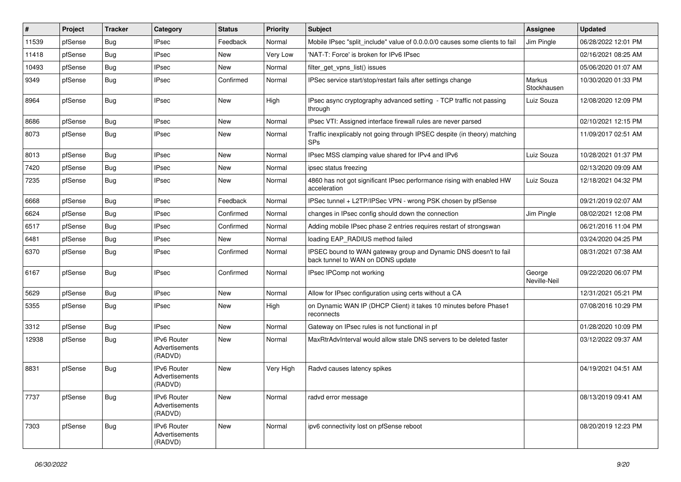| #     | Project | <b>Tracker</b> | Category                                        | <b>Status</b> | <b>Priority</b> | <b>Subject</b>                                                                                        | Assignee               | <b>Updated</b>      |
|-------|---------|----------------|-------------------------------------------------|---------------|-----------------|-------------------------------------------------------------------------------------------------------|------------------------|---------------------|
| 11539 | pfSense | <b>Bug</b>     | <b>IPsec</b>                                    | Feedback      | Normal          | Mobile IPsec "split include" value of 0.0.0.0/0 causes some clients to fail                           | Jim Pingle             | 06/28/2022 12:01 PM |
| 11418 | pfSense | Bug            | <b>IPsec</b>                                    | New           | <b>Very Low</b> | 'NAT-T: Force' is broken for IPv6 IPsec                                                               |                        | 02/16/2021 08:25 AM |
| 10493 | pfSense | <b>Bug</b>     | <b>IPsec</b>                                    | New           | Normal          | filter get vpns list() issues                                                                         |                        | 05/06/2020 01:07 AM |
| 9349  | pfSense | <b>Bug</b>     | <b>IPsec</b>                                    | Confirmed     | Normal          | IPSec service start/stop/restart fails after settings change                                          | Markus<br>Stockhausen  | 10/30/2020 01:33 PM |
| 8964  | pfSense | Bug            | <b>IPsec</b>                                    | <b>New</b>    | High            | IPsec async cryptography advanced setting - TCP traffic not passing<br>through                        | Luiz Souza             | 12/08/2020 12:09 PM |
| 8686  | pfSense | Bug            | <b>IPsec</b>                                    | <b>New</b>    | Normal          | IPsec VTI: Assigned interface firewall rules are never parsed                                         |                        | 02/10/2021 12:15 PM |
| 8073  | pfSense | <b>Bug</b>     | <b>IPsec</b>                                    | <b>New</b>    | Normal          | Traffic inexplicably not going through IPSEC despite (in theory) matching<br>SPs                      |                        | 11/09/2017 02:51 AM |
| 8013  | pfSense | Bug            | <b>IPsec</b>                                    | <b>New</b>    | Normal          | IPsec MSS clamping value shared for IPv4 and IPv6                                                     | Luiz Souza             | 10/28/2021 01:37 PM |
| 7420  | pfSense | <b>Bug</b>     | <b>IPsec</b>                                    | New           | Normal          | ipsec status freezing                                                                                 |                        | 02/13/2020 09:09 AM |
| 7235  | pfSense | <b>Bug</b>     | <b>IPsec</b>                                    | New           | Normal          | 4860 has not got significant IPsec performance rising with enabled HW<br>acceleration                 | Luiz Souza             | 12/18/2021 04:32 PM |
| 6668  | pfSense | <b>Bug</b>     | <b>IPsec</b>                                    | Feedback      | Normal          | IPSec tunnel + L2TP/IPSec VPN - wrong PSK chosen by pfSense                                           |                        | 09/21/2019 02:07 AM |
| 6624  | pfSense | Bug            | <b>IPsec</b>                                    | Confirmed     | Normal          | changes in IPsec config should down the connection                                                    | Jim Pingle             | 08/02/2021 12:08 PM |
| 6517  | pfSense | <b>Bug</b>     | <b>IPsec</b>                                    | Confirmed     | Normal          | Adding mobile IPsec phase 2 entries requires restart of strongswan                                    |                        | 06/21/2016 11:04 PM |
| 6481  | pfSense | <b>Bug</b>     | <b>IPsec</b>                                    | New           | Normal          | loading EAP RADIUS method failed                                                                      |                        | 03/24/2020 04:25 PM |
| 6370  | pfSense | <b>Bug</b>     | <b>IPsec</b>                                    | Confirmed     | Normal          | IPSEC bound to WAN gateway group and Dynamic DNS doesn't to fail<br>back tunnel to WAN on DDNS update |                        | 08/31/2021 07:38 AM |
| 6167  | pfSense | <b>Bug</b>     | <b>IPsec</b>                                    | Confirmed     | Normal          | IPsec IPComp not working                                                                              | George<br>Neville-Neil | 09/22/2020 06:07 PM |
| 5629  | pfSense | <b>Bug</b>     | <b>IPsec</b>                                    | New           | Normal          | Allow for IPsec configuration using certs without a CA                                                |                        | 12/31/2021 05:21 PM |
| 5355  | pfSense | Bug            | <b>IPsec</b>                                    | New           | High            | on Dynamic WAN IP (DHCP Client) it takes 10 minutes before Phase1<br>reconnects                       |                        | 07/08/2016 10:29 PM |
| 3312  | pfSense | Bug            | <b>IPsec</b>                                    | New           | Normal          | Gateway on IPsec rules is not functional in pf                                                        |                        | 01/28/2020 10:09 PM |
| 12938 | pfSense | <b>Bug</b>     | <b>IPv6 Router</b><br>Advertisements<br>(RADVD) | New           | Normal          | MaxRtrAdvInterval would allow stale DNS servers to be deleted faster                                  |                        | 03/12/2022 09:37 AM |
| 8831  | pfSense | Bug            | <b>IPv6 Router</b><br>Advertisements<br>(RADVD) | <b>New</b>    | Very High       | Radvd causes latency spikes                                                                           |                        | 04/19/2021 04:51 AM |
| 7737  | pfSense | Bug            | IPv6 Router<br>Advertisements<br>(RADVD)        | New           | Normal          | radvd error message                                                                                   |                        | 08/13/2019 09:41 AM |
| 7303  | pfSense | Bug            | IPv6 Router<br>Advertisements<br>(RADVD)        | New           | Normal          | ipv6 connectivity lost on pfSense reboot                                                              |                        | 08/20/2019 12:23 PM |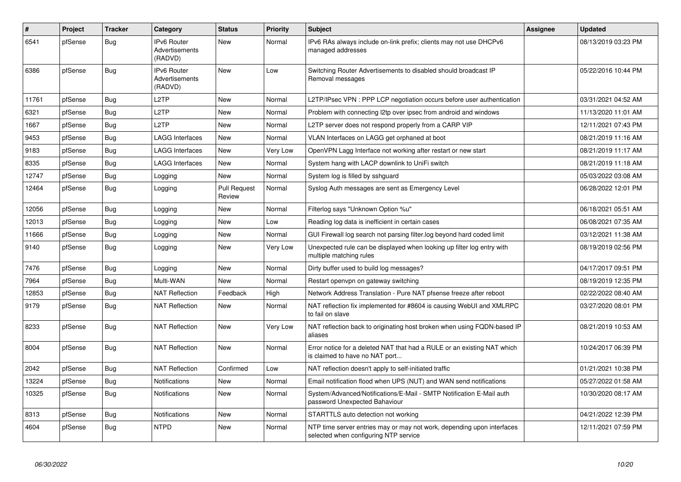| #     | Project | <b>Tracker</b> | Category                                        | <b>Status</b>          | <b>Priority</b> | <b>Subject</b>                                                                                                  | Assignee | <b>Updated</b>      |
|-------|---------|----------------|-------------------------------------------------|------------------------|-----------------|-----------------------------------------------------------------------------------------------------------------|----------|---------------------|
| 6541  | pfSense | <b>Bug</b>     | IPv6 Router<br>Advertisements<br>(RADVD)        | <b>New</b>             | Normal          | IPv6 RAs always include on-link prefix; clients may not use DHCPv6<br>managed addresses                         |          | 08/13/2019 03:23 PM |
| 6386  | pfSense | <b>Bug</b>     | <b>IPv6 Router</b><br>Advertisements<br>(RADVD) | <b>New</b>             | Low             | Switching Router Advertisements to disabled should broadcast IP<br>Removal messages                             |          | 05/22/2016 10:44 PM |
| 11761 | pfSense | Bug            | L <sub>2</sub> TP                               | <b>New</b>             | Normal          | L2TP/IPsec VPN : PPP LCP negotiation occurs before user authentication                                          |          | 03/31/2021 04:52 AM |
| 6321  | pfSense | <b>Bug</b>     | L2TP                                            | New                    | Normal          | Problem with connecting I2tp over ipsec from android and windows                                                |          | 11/13/2020 11:01 AM |
| 1667  | pfSense | Bug            | L <sub>2</sub> TP                               | New                    | Normal          | L2TP server does not respond properly from a CARP VIP                                                           |          | 12/11/2021 07:43 PM |
| 9453  | pfSense | <b>Bug</b>     | <b>LAGG Interfaces</b>                          | <b>New</b>             | Normal          | VLAN Interfaces on LAGG get orphaned at boot                                                                    |          | 08/21/2019 11:16 AM |
| 9183  | pfSense | Bug            | <b>LAGG Interfaces</b>                          | New                    | Very Low        | OpenVPN Lagg Interface not working after restart or new start                                                   |          | 08/21/2019 11:17 AM |
| 8335  | pfSense | <b>Bug</b>     | LAGG Interfaces                                 | <b>New</b>             | Normal          | System hang with LACP downlink to UniFi switch                                                                  |          | 08/21/2019 11:18 AM |
| 12747 | pfSense | <b>Bug</b>     | Logging                                         | <b>New</b>             | Normal          | System log is filled by sshguard                                                                                |          | 05/03/2022 03:08 AM |
| 12464 | pfSense | <b>Bug</b>     | Logging                                         | Pull Request<br>Review | Normal          | Syslog Auth messages are sent as Emergency Level                                                                |          | 06/28/2022 12:01 PM |
| 12056 | pfSense | Bug            | Logging                                         | <b>New</b>             | Normal          | Filterlog says "Unknown Option %u"                                                                              |          | 06/18/2021 05:51 AM |
| 12013 | pfSense | <b>Bug</b>     | Logging                                         | <b>New</b>             | Low             | Reading log data is inefficient in certain cases                                                                |          | 06/08/2021 07:35 AM |
| 11666 | pfSense | <b>Bug</b>     | Logging                                         | New                    | Normal          | GUI Firewall log search not parsing filter.log beyond hard coded limit                                          |          | 03/12/2021 11:38 AM |
| 9140  | pfSense | <b>Bug</b>     | Logging                                         | <b>New</b>             | Very Low        | Unexpected rule can be displayed when looking up filter log entry with<br>multiple matching rules               |          | 08/19/2019 02:56 PM |
| 7476  | pfSense | <b>Bug</b>     | Logging                                         | <b>New</b>             | Normal          | Dirty buffer used to build log messages?                                                                        |          | 04/17/2017 09:51 PM |
| 7964  | pfSense | Bug            | Multi-WAN                                       | <b>New</b>             | Normal          | Restart openypn on gateway switching                                                                            |          | 08/19/2019 12:35 PM |
| 12853 | pfSense | <b>Bug</b>     | <b>NAT Reflection</b>                           | Feedback               | High            | Network Address Translation - Pure NAT pfsense freeze after reboot                                              |          | 02/22/2022 08:40 AM |
| 9179  | pfSense | <b>Bug</b>     | <b>NAT Reflection</b>                           | New                    | Normal          | NAT reflection fix implemented for #8604 is causing WebUI and XMLRPC<br>to fail on slave                        |          | 03/27/2020 08:01 PM |
| 8233  | pfSense | <b>Bug</b>     | <b>NAT Reflection</b>                           | New                    | Very Low        | NAT reflection back to originating host broken when using FQDN-based IP<br>aliases                              |          | 08/21/2019 10:53 AM |
| 8004  | pfSense | Bug            | <b>NAT Reflection</b>                           | <b>New</b>             | Normal          | Error notice for a deleted NAT that had a RULE or an existing NAT which<br>is claimed to have no NAT port       |          | 10/24/2017 06:39 PM |
| 2042  | pfSense | Bug            | <b>NAT Reflection</b>                           | Confirmed              | Low             | NAT reflection doesn't apply to self-initiated traffic                                                          |          | 01/21/2021 10:38 PM |
| 13224 | pfSense | <b>Bug</b>     | <b>Notifications</b>                            | New                    | Normal          | Email notification flood when UPS (NUT) and WAN send notifications                                              |          | 05/27/2022 01:58 AM |
| 10325 | pfSense | Bug            | Notifications                                   | <b>New</b>             | Normal          | System/Advanced/Notifications/E-Mail - SMTP Notification E-Mail auth<br>password Unexpected Bahaviour           |          | 10/30/2020 08:17 AM |
| 8313  | pfSense | Bug            | Notifications                                   | New                    | Normal          | STARTTLS auto detection not working                                                                             |          | 04/21/2022 12:39 PM |
| 4604  | pfSense | <b>Bug</b>     | <b>NTPD</b>                                     | <b>New</b>             | Normal          | NTP time server entries may or may not work, depending upon interfaces<br>selected when configuring NTP service |          | 12/11/2021 07:59 PM |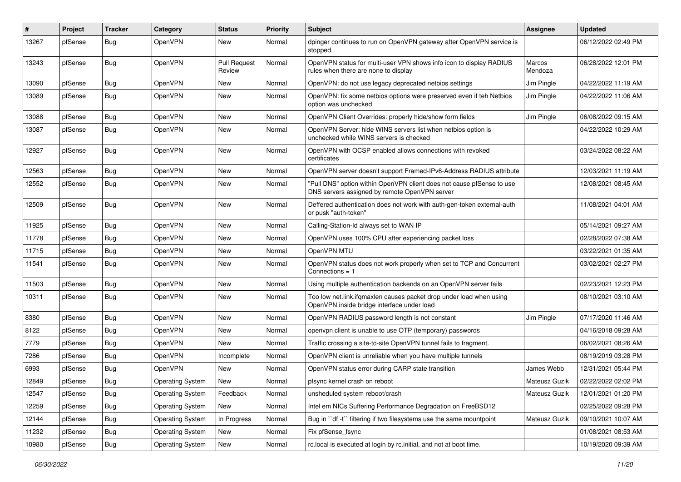| $\#$  | Project | <b>Tracker</b> | Category                | <b>Status</b>                 | <b>Priority</b> | Subject                                                                                                                | Assignee          | <b>Updated</b>      |
|-------|---------|----------------|-------------------------|-------------------------------|-----------------|------------------------------------------------------------------------------------------------------------------------|-------------------|---------------------|
| 13267 | pfSense | Bug            | OpenVPN                 | New                           | Normal          | dpinger continues to run on OpenVPN gateway after OpenVPN service is<br>stopped.                                       |                   | 06/12/2022 02:49 PM |
| 13243 | pfSense | Bug            | OpenVPN                 | <b>Pull Request</b><br>Review | Normal          | OpenVPN status for multi-user VPN shows info icon to display RADIUS<br>rules when there are none to display            | Marcos<br>Mendoza | 06/28/2022 12:01 PM |
| 13090 | pfSense | <b>Bug</b>     | OpenVPN                 | New                           | Normal          | OpenVPN: do not use legacy deprecated netbios settings                                                                 | Jim Pingle        | 04/22/2022 11:19 AM |
| 13089 | pfSense | Bug            | OpenVPN                 | New                           | Normal          | OpenVPN: fix some netbios options were preserved even if teh Netbios<br>option was unchecked                           | Jim Pingle        | 04/22/2022 11:06 AM |
| 13088 | pfSense | <b>Bug</b>     | OpenVPN                 | New                           | Normal          | OpenVPN Client Overrides: properly hide/show form fields                                                               | Jim Pingle        | 06/08/2022 09:15 AM |
| 13087 | pfSense | Bug            | OpenVPN                 | New                           | Normal          | OpenVPN Server: hide WINS servers list when netbios option is<br>unchecked while WINS servers is checked               |                   | 04/22/2022 10:29 AM |
| 12927 | pfSense | Bug            | OpenVPN                 | New                           | Normal          | OpenVPN with OCSP enabled allows connections with revoked<br>certificates                                              |                   | 03/24/2022 08:22 AM |
| 12563 | pfSense | <b>Bug</b>     | OpenVPN                 | <b>New</b>                    | Normal          | OpenVPN server doesn't support Framed-IPv6-Address RADIUS attribute                                                    |                   | 12/03/2021 11:19 AM |
| 12552 | pfSense | Bug            | OpenVPN                 | New                           | Normal          | "Pull DNS" option within OpenVPN client does not cause pfSense to use<br>DNS servers assigned by remote OpenVPN server |                   | 12/08/2021 08:45 AM |
| 12509 | pfSense | <b>Bug</b>     | OpenVPN                 | New                           | Normal          | Deffered authentication does not work with auth-gen-token external-auth<br>or pusk "auth-token"                        |                   | 11/08/2021 04:01 AM |
| 11925 | pfSense | <b>Bug</b>     | OpenVPN                 | New                           | Normal          | Calling-Station-Id always set to WAN IP                                                                                |                   | 05/14/2021 09:27 AM |
| 11778 | pfSense | <b>Bug</b>     | OpenVPN                 | New                           | Normal          | OpenVPN uses 100% CPU after experiencing packet loss                                                                   |                   | 02/28/2022 07:38 AM |
| 11715 | pfSense | <b>Bug</b>     | OpenVPN                 | New                           | Normal          | OpenVPN MTU                                                                                                            |                   | 03/22/2021 01:35 AM |
| 11541 | pfSense | <b>Bug</b>     | OpenVPN                 | New                           | Normal          | OpenVPN status does not work properly when set to TCP and Concurrent<br>Connections $= 1$                              |                   | 03/02/2021 02:27 PM |
| 11503 | pfSense | <b>Bug</b>     | OpenVPN                 | New                           | Normal          | Using multiple authentication backends on an OpenVPN server fails                                                      |                   | 02/23/2021 12:23 PM |
| 10311 | pfSense | <b>Bug</b>     | OpenVPN                 | New                           | Normal          | Too low net.link.ifqmaxlen causes packet drop under load when using<br>OpenVPN inside bridge interface under load      |                   | 08/10/2021 03:10 AM |
| 8380  | pfSense | <b>Bug</b>     | OpenVPN                 | New                           | Normal          | OpenVPN RADIUS password length is not constant                                                                         | Jim Pingle        | 07/17/2020 11:46 AM |
| 8122  | pfSense | <b>Bug</b>     | OpenVPN                 | New                           | Normal          | openvpn client is unable to use OTP (temporary) passwords                                                              |                   | 04/16/2018 09:28 AM |
| 7779  | pfSense | <b>Bug</b>     | OpenVPN                 | New                           | Normal          | Traffic crossing a site-to-site OpenVPN tunnel fails to fragment.                                                      |                   | 06/02/2021 08:26 AM |
| 7286  | pfSense | <b>Bug</b>     | OpenVPN                 | Incomplete                    | Normal          | OpenVPN client is unreliable when you have multiple tunnels                                                            |                   | 08/19/2019 03:28 PM |
| 6993  | pfSense | Bug            | OpenVPN                 | New                           | Normal          | OpenVPN status error during CARP state transition                                                                      | James Webb        | 12/31/2021 05:44 PM |
| 12849 | pfSense | Bug            | <b>Operating System</b> | <b>New</b>                    | Normal          | pfsync kernel crash on reboot                                                                                          | Mateusz Guzik     | 02/22/2022 02:02 PM |
| 12547 | pfSense | <b>Bug</b>     | <b>Operating System</b> | Feedback                      | Normal          | unsheduled system reboot/crash                                                                                         | Mateusz Guzik     | 12/01/2021 01:20 PM |
| 12259 | pfSense | <b>Bug</b>     | <b>Operating System</b> | New                           | Normal          | Intel em NICs Suffering Performance Degradation on FreeBSD12                                                           |                   | 02/25/2022 09:28 PM |
| 12144 | pfSense | Bug            | <b>Operating System</b> | In Progress                   | Normal          | Bug in "df -t" filtering if two filesystems use the same mountpoint                                                    | Mateusz Guzik     | 09/10/2021 10:07 AM |
| 11232 | pfSense | Bug            | <b>Operating System</b> | New                           | Normal          | Fix pfSense fsync                                                                                                      |                   | 01/08/2021 08:53 AM |
| 10980 | pfSense | Bug            | <b>Operating System</b> | New                           | Normal          | rc.local is executed at login by rc.initial, and not at boot time.                                                     |                   | 10/19/2020 09:39 AM |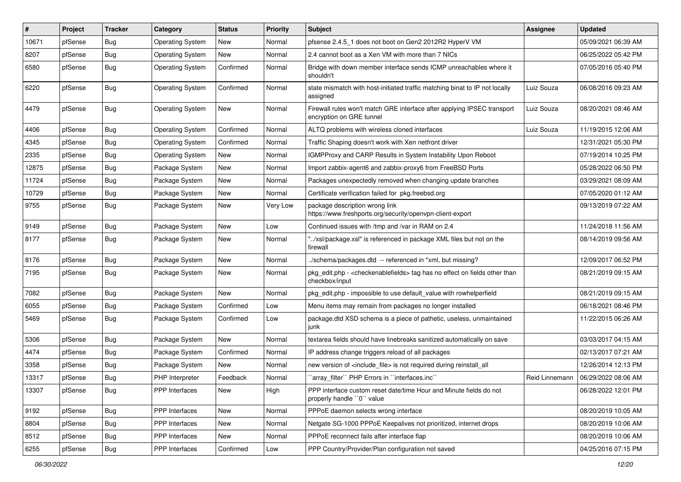| $\vert$ # | Project | <b>Tracker</b> | Category                | <b>Status</b> | <b>Priority</b> | Subject                                                                                                          | Assignee       | <b>Updated</b>      |
|-----------|---------|----------------|-------------------------|---------------|-----------------|------------------------------------------------------------------------------------------------------------------|----------------|---------------------|
| 10671     | pfSense | Bug            | <b>Operating System</b> | New           | Normal          | pfsense 2.4.5 1 does not boot on Gen2 2012R2 HyperV VM                                                           |                | 05/09/2021 06:39 AM |
| 8207      | pfSense | Bug            | <b>Operating System</b> | <b>New</b>    | Normal          | 2.4 cannot boot as a Xen VM with more than 7 NICs                                                                |                | 06/25/2022 05:42 PM |
| 6580      | pfSense | <b>Bug</b>     | <b>Operating System</b> | Confirmed     | Normal          | Bridge with down member interface sends ICMP unreachables where it<br>shouldn't                                  |                | 07/05/2016 05:40 PM |
| 6220      | pfSense | Bug            | <b>Operating System</b> | Confirmed     | Normal          | state mismatch with host-initiated traffic matching binat to IP not locally<br>assigned                          | Luiz Souza     | 06/08/2016 09:23 AM |
| 4479      | pfSense | <b>Bug</b>     | <b>Operating System</b> | New           | Normal          | Firewall rules won't match GRE interface after applying IPSEC transport<br>encryption on GRE tunnel              | Luiz Souza     | 08/20/2021 08:46 AM |
| 4406      | pfSense | Bug            | <b>Operating System</b> | Confirmed     | Normal          | ALTQ problems with wireless cloned interfaces                                                                    | Luiz Souza     | 11/19/2015 12:06 AM |
| 4345      | pfSense | Bug            | <b>Operating System</b> | Confirmed     | Normal          | Traffic Shaping doesn't work with Xen netfront driver                                                            |                | 12/31/2021 05:30 PM |
| 2335      | pfSense | <b>Bug</b>     | <b>Operating System</b> | New           | Normal          | IGMPProxy and CARP Results in System Instability Upon Reboot                                                     |                | 07/19/2014 10:25 PM |
| 12875     | pfSense | <b>Bug</b>     | Package System          | New           | Normal          | Import zabbix-agent6 and zabbix-proxy6 from FreeBSD Ports                                                        |                | 05/28/2022 06:50 PM |
| 11724     | pfSense | Bug            | Package System          | New           | Normal          | Packages unexpectedly removed when changing update branches                                                      |                | 03/29/2021 08:09 AM |
| 10729     | pfSense | <b>Bug</b>     | Package System          | New           | Normal          | Certificate verification failed for pkg.freebsd.org                                                              |                | 07/05/2020 01:12 AM |
| 9755      | pfSense | <b>Bug</b>     | Package System          | New           | Very Low        | package description wrong link<br>https://www.freshports.org/security/openvpn-client-export                      |                | 09/13/2019 07:22 AM |
| 9149      | pfSense | <b>Bug</b>     | Package System          | New           | Low             | Continued issues with /tmp and /var in RAM on 2.4                                                                |                | 11/24/2018 11:56 AM |
| 8177      | pfSense | <b>Bug</b>     | Package System          | New           | Normal          | "/xsl/package.xsl" is referenced in package XML files but not on the<br>firewall                                 |                | 08/14/2019 09:56 AM |
| 8176      | pfSense | <b>Bug</b>     | Package System          | New           | Normal          | /schema/packages.dtd -- referenced in *xml, but missing?                                                         |                | 12/09/2017 06:52 PM |
| 7195      | pfSense | <b>Bug</b>     | Package System          | New           | Normal          | pkg_edit.php - <checkenablefields> tag has no effect on fields other than<br/>checkbox/input</checkenablefields> |                | 08/21/2019 09:15 AM |
| 7082      | pfSense | <b>Bug</b>     | Package System          | <b>New</b>    | Normal          | pkg_edit.php - impossible to use default_value with rowhelperfield                                               |                | 08/21/2019 09:15 AM |
| 6055      | pfSense | <b>Bug</b>     | Package System          | Confirmed     | Low             | Menu items may remain from packages no longer installed                                                          |                | 06/18/2021 08:46 PM |
| 5469      | pfSense | <b>Bug</b>     | Package System          | Confirmed     | Low             | package.dtd XSD schema is a piece of pathetic, useless, unmaintained<br>junk                                     |                | 11/22/2015 06:26 AM |
| 5306      | pfSense | Bug            | Package System          | New           | Normal          | textarea fields should have linebreaks sanitized automatically on save                                           |                | 03/03/2017 04:15 AM |
| 4474      | pfSense | <b>Bug</b>     | Package System          | Confirmed     | Normal          | IP address change triggers reload of all packages                                                                |                | 02/13/2017 07:21 AM |
| 3358      | pfSense | Bug            | Package System          | New           | Normal          | new version of <include file=""> is not required during reinstall all</include>                                  |                | 12/26/2014 12:13 PM |
| 13317     | pfSense | Bug            | PHP Interpreter         | Feedback      | Normal          | `array_filter`` PHP Errors in ``interfaces.inc``                                                                 | Reid Linnemann | 06/29/2022 08:06 AM |
| 13307     | pfSense | <b>Bug</b>     | PPP Interfaces          | New           | High            | PPP interface custom reset date/time Hour and Minute fields do not<br>properly handle "0" value                  |                | 06/28/2022 12:01 PM |
| 9192      | pfSense | <b>Bug</b>     | <b>PPP</b> Interfaces   | New           | Normal          | PPPoE daemon selects wrong interface                                                                             |                | 08/20/2019 10:05 AM |
| 8804      | pfSense | Bug            | <b>PPP</b> Interfaces   | New           | Normal          | Netgate SG-1000 PPPoE Keepalives not prioritized, internet drops                                                 |                | 08/20/2019 10:06 AM |
| 8512      | pfSense | Bug            | <b>PPP</b> Interfaces   | New           | Normal          | PPPoE reconnect fails after interface flap                                                                       |                | 08/20/2019 10:06 AM |
| 6255      | pfSense | Bug            | PPP Interfaces          | Confirmed     | Low             | PPP Country/Provider/Plan configuration not saved                                                                |                | 04/25/2016 07:15 PM |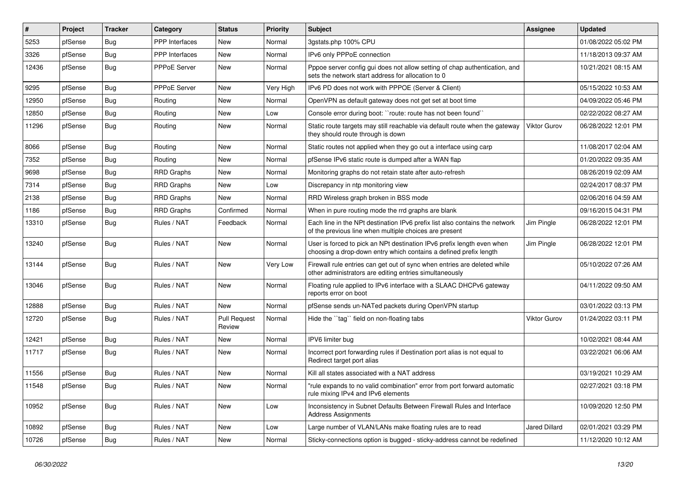| #     | Project | <b>Tracker</b> | Category          | <b>Status</b>                 | <b>Priority</b> | <b>Subject</b>                                                                                                                              | <b>Assignee</b> | <b>Updated</b>      |
|-------|---------|----------------|-------------------|-------------------------------|-----------------|---------------------------------------------------------------------------------------------------------------------------------------------|-----------------|---------------------|
| 5253  | pfSense | Bug            | PPP Interfaces    | New                           | Normal          | 3gstats.php 100% CPU                                                                                                                        |                 | 01/08/2022 05:02 PM |
| 3326  | pfSense | Bug            | PPP Interfaces    | New                           | Normal          | IPv6 only PPPoE connection                                                                                                                  |                 | 11/18/2013 09:37 AM |
| 12436 | pfSense | Bug            | PPPoE Server      | New                           | Normal          | Pppoe server config gui does not allow setting of chap authentication, and<br>sets the network start address for allocation to 0            |                 | 10/21/2021 08:15 AM |
| 9295  | pfSense | Bug            | PPPoE Server      | New                           | Very High       | IPv6 PD does not work with PPPOE (Server & Client)                                                                                          |                 | 05/15/2022 10:53 AM |
| 12950 | pfSense | Bug            | Routing           | New                           | Normal          | OpenVPN as default gateway does not get set at boot time                                                                                    |                 | 04/09/2022 05:46 PM |
| 12850 | pfSense | <b>Bug</b>     | Routing           | New                           | Low             | Console error during boot: "route: route has not been found"                                                                                |                 | 02/22/2022 08:27 AM |
| 11296 | pfSense | Bug            | Routing           | New                           | Normal          | Static route targets may still reachable via default route when the gateway<br>they should route through is down                            | Viktor Gurov    | 06/28/2022 12:01 PM |
| 8066  | pfSense | Bug            | Routing           | New                           | Normal          | Static routes not applied when they go out a interface using carp                                                                           |                 | 11/08/2017 02:04 AM |
| 7352  | pfSense | Bug            | Routing           | New                           | Normal          | pfSense IPv6 static route is dumped after a WAN flap                                                                                        |                 | 01/20/2022 09:35 AM |
| 9698  | pfSense | Bug            | <b>RRD Graphs</b> | New                           | Normal          | Monitoring graphs do not retain state after auto-refresh                                                                                    |                 | 08/26/2019 02:09 AM |
| 7314  | pfSense | <b>Bug</b>     | <b>RRD Graphs</b> | New                           | Low             | Discrepancy in ntp monitoring view                                                                                                          |                 | 02/24/2017 08:37 PM |
| 2138  | pfSense | <b>Bug</b>     | <b>RRD Graphs</b> | <b>New</b>                    | Normal          | RRD Wireless graph broken in BSS mode                                                                                                       |                 | 02/06/2016 04:59 AM |
| 1186  | pfSense | <b>Bug</b>     | <b>RRD</b> Graphs | Confirmed                     | Normal          | When in pure routing mode the rrd graphs are blank                                                                                          |                 | 09/16/2015 04:31 PM |
| 13310 | pfSense | Bug            | Rules / NAT       | Feedback                      | Normal          | Each line in the NPt destination IPv6 prefix list also contains the network<br>of the previous line when multiple choices are present       | Jim Pingle      | 06/28/2022 12:01 PM |
| 13240 | pfSense | Bug            | Rules / NAT       | New                           | Normal          | User is forced to pick an NPt destination IPv6 prefix length even when<br>choosing a drop-down entry which contains a defined prefix length | Jim Pingle      | 06/28/2022 12:01 PM |
| 13144 | pfSense | Bug            | Rules / NAT       | New                           | Very Low        | Firewall rule entries can get out of sync when entries are deleted while<br>other administrators are editing entries simultaneously         |                 | 05/10/2022 07:26 AM |
| 13046 | pfSense | Bug            | Rules / NAT       | New                           | Normal          | Floating rule applied to IPv6 interface with a SLAAC DHCPv6 gateway<br>reports error on boot                                                |                 | 04/11/2022 09:50 AM |
| 12888 | pfSense | Bug            | Rules / NAT       | <b>New</b>                    | Normal          | pfSense sends un-NATed packets during OpenVPN startup                                                                                       |                 | 03/01/2022 03:13 PM |
| 12720 | pfSense | <b>Bug</b>     | Rules / NAT       | <b>Pull Request</b><br>Review | Normal          | Hide the "tag" field on non-floating tabs                                                                                                   | Viktor Gurov    | 01/24/2022 03:11 PM |
| 12421 | pfSense | Bug            | Rules / NAT       | New                           | Normal          | IPV6 limiter bug                                                                                                                            |                 | 10/02/2021 08:44 AM |
| 11717 | pfSense | <b>Bug</b>     | Rules / NAT       | New                           | Normal          | Incorrect port forwarding rules if Destination port alias is not equal to<br>Redirect target port alias                                     |                 | 03/22/2021 06:06 AM |
| 11556 | pfSense | <b>Bug</b>     | Rules / NAT       | New                           | Normal          | Kill all states associated with a NAT address                                                                                               |                 | 03/19/2021 10:29 AM |
| 11548 | pfSense | <b>Bug</b>     | Rules / NAT       | New                           | Normal          | "rule expands to no valid combination" error from port forward automatic<br>rule mixing IPv4 and IPv6 elements                              |                 | 02/27/2021 03:18 PM |
| 10952 | pfSense | <b>Bug</b>     | Rules / NAT       | New                           | Low             | Inconsistency in Subnet Defaults Between Firewall Rules and Interface<br><b>Address Assignments</b>                                         |                 | 10/09/2020 12:50 PM |
| 10892 | pfSense | Bug            | Rules / NAT       | New                           | Low             | Large number of VLAN/LANs make floating rules are to read                                                                                   | Jared Dillard   | 02/01/2021 03:29 PM |
| 10726 | pfSense | Bug            | Rules / NAT       | New                           | Normal          | Sticky-connections option is bugged - sticky-address cannot be redefined                                                                    |                 | 11/12/2020 10:12 AM |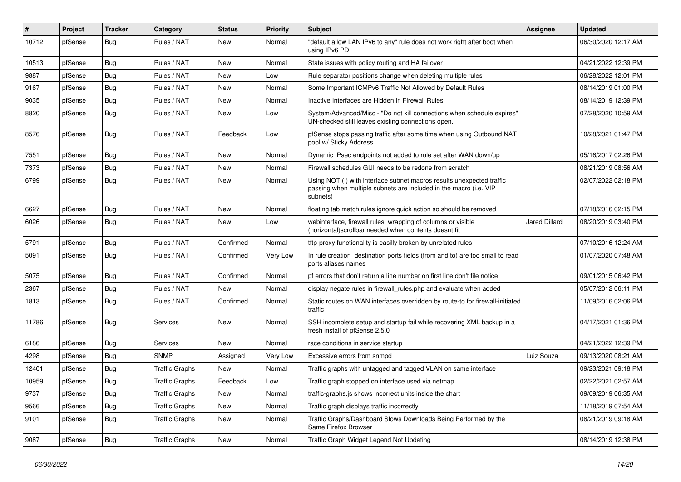| #     | Project | <b>Tracker</b> | Category              | <b>Status</b> | <b>Priority</b> | <b>Subject</b>                                                                                                                                         | Assignee      | <b>Updated</b>      |
|-------|---------|----------------|-----------------------|---------------|-----------------|--------------------------------------------------------------------------------------------------------------------------------------------------------|---------------|---------------------|
| 10712 | pfSense | <b>Bug</b>     | Rules / NAT           | New           | Normal          | "default allow LAN IPv6 to any" rule does not work right after boot when<br>using IPv6 PD                                                              |               | 06/30/2020 12:17 AM |
| 10513 | pfSense | Bug            | Rules / NAT           | New           | Normal          | State issues with policy routing and HA failover                                                                                                       |               | 04/21/2022 12:39 PM |
| 9887  | pfSense | Bug            | Rules / NAT           | New           | Low             | Rule separator positions change when deleting multiple rules                                                                                           |               | 06/28/2022 12:01 PM |
| 9167  | pfSense | Bug            | Rules / NAT           | New           | Normal          | Some Important ICMPv6 Traffic Not Allowed by Default Rules                                                                                             |               | 08/14/2019 01:00 PM |
| 9035  | pfSense | Bug            | Rules / NAT           | <b>New</b>    | Normal          | Inactive Interfaces are Hidden in Firewall Rules                                                                                                       |               | 08/14/2019 12:39 PM |
| 8820  | pfSense | <b>Bug</b>     | Rules / NAT           | New           | Low             | System/Advanced/Misc - "Do not kill connections when schedule expires"<br>UN-checked still leaves existing connections open.                           |               | 07/28/2020 10:59 AM |
| 8576  | pfSense | Bug            | Rules / NAT           | Feedback      | Low             | pfSense stops passing traffic after some time when using Outbound NAT<br>pool w/ Sticky Address                                                        |               | 10/28/2021 01:47 PM |
| 7551  | pfSense | Bug            | Rules / NAT           | New           | Normal          | Dynamic IPsec endpoints not added to rule set after WAN down/up                                                                                        |               | 05/16/2017 02:26 PM |
| 7373  | pfSense | Bug            | Rules / NAT           | New           | Normal          | Firewall schedules GUI needs to be redone from scratch                                                                                                 |               | 08/21/2019 08:56 AM |
| 6799  | pfSense | <b>Bug</b>     | Rules / NAT           | New           | Normal          | Using NOT (!) with interface subnet macros results unexpected traffic<br>passing when multiple subnets are included in the macro (i.e. VIP<br>subnets) |               | 02/07/2022 02:18 PM |
| 6627  | pfSense | Bug            | Rules / NAT           | New           | Normal          | floating tab match rules ignore quick action so should be removed                                                                                      |               | 07/18/2016 02:15 PM |
| 6026  | pfSense | Bug            | Rules / NAT           | New           | Low             | webinterface, firewall rules, wrapping of columns or visible<br>(horizontal) scrollbar needed when contents doesnt fit                                 | Jared Dillard | 08/20/2019 03:40 PM |
| 5791  | pfSense | Bug            | Rules / NAT           | Confirmed     | Normal          | tftp-proxy functionality is easilly broken by unrelated rules                                                                                          |               | 07/10/2016 12:24 AM |
| 5091  | pfSense | <b>Bug</b>     | Rules / NAT           | Confirmed     | Very Low        | In rule creation destination ports fields (from and to) are too small to read<br>ports aliases names                                                   |               | 01/07/2020 07:48 AM |
| 5075  | pfSense | Bug            | Rules / NAT           | Confirmed     | Normal          | pf errors that don't return a line number on first line don't file notice                                                                              |               | 09/01/2015 06:42 PM |
| 2367  | pfSense | <b>Bug</b>     | Rules / NAT           | New           | Normal          | display negate rules in firewall_rules.php and evaluate when added                                                                                     |               | 05/07/2012 06:11 PM |
| 1813  | pfSense | Bug            | Rules / NAT           | Confirmed     | Normal          | Static routes on WAN interfaces overridden by route-to for firewall-initiated<br>traffic                                                               |               | 11/09/2016 02:06 PM |
| 11786 | pfSense | Bug            | Services              | New           | Normal          | SSH incomplete setup and startup fail while recovering XML backup in a<br>fresh install of pfSense 2.5.0                                               |               | 04/17/2021 01:36 PM |
| 6186  | pfSense | Bug            | Services              | New           | Normal          | race conditions in service startup                                                                                                                     |               | 04/21/2022 12:39 PM |
| 4298  | pfSense | Bug            | <b>SNMP</b>           | Assigned      | Very Low        | Excessive errors from snmpd                                                                                                                            | Luiz Souza    | 09/13/2020 08:21 AM |
| 12401 | pfSense | <b>Bug</b>     | <b>Traffic Graphs</b> | New           | Normal          | Traffic graphs with untagged and tagged VLAN on same interface                                                                                         |               | 09/23/2021 09:18 PM |
| 10959 | pfSense | Bug            | Traffic Graphs        | Feedback      | Low             | Traffic graph stopped on interface used via netmap                                                                                                     |               | 02/22/2021 02:57 AM |
| 9737  | pfSense | <b>Bug</b>     | <b>Traffic Graphs</b> | New           | Normal          | traffic-graphs.js shows incorrect units inside the chart                                                                                               |               | 09/09/2019 06:35 AM |
| 9566  | pfSense | <b>Bug</b>     | <b>Traffic Graphs</b> | New           | Normal          | Traffic graph displays traffic incorrectly                                                                                                             |               | 11/18/2019 07:54 AM |
| 9101  | pfSense | Bug            | <b>Traffic Graphs</b> | New           | Normal          | Traffic Graphs/Dashboard Slows Downloads Being Performed by the<br>Same Firefox Browser                                                                |               | 08/21/2019 09:18 AM |
| 9087  | pfSense | Bug            | <b>Traffic Graphs</b> | New           | Normal          | Traffic Graph Widget Legend Not Updating                                                                                                               |               | 08/14/2019 12:38 PM |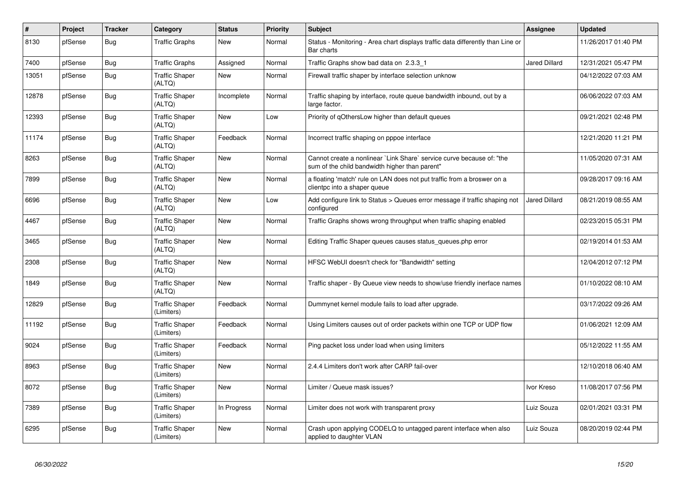| $\pmb{\#}$ | Project | <b>Tracker</b> | Category                            | <b>Status</b> | <b>Priority</b> | <b>Subject</b>                                                                                                          | Assignee             | <b>Updated</b>      |
|------------|---------|----------------|-------------------------------------|---------------|-----------------|-------------------------------------------------------------------------------------------------------------------------|----------------------|---------------------|
| 8130       | pfSense | <b>Bug</b>     | <b>Traffic Graphs</b>               | <b>New</b>    | Normal          | Status - Monitoring - Area chart displays traffic data differently than Line or<br>Bar charts                           |                      | 11/26/2017 01:40 PM |
| 7400       | pfSense | Bug            | <b>Traffic Graphs</b>               | Assigned      | Normal          | Traffic Graphs show bad data on 2.3.3 1                                                                                 | <b>Jared Dillard</b> | 12/31/2021 05:47 PM |
| 13051      | pfSense | <b>Bug</b>     | <b>Traffic Shaper</b><br>(ALTQ)     | <b>New</b>    | Normal          | Firewall traffic shaper by interface selection unknow                                                                   |                      | 04/12/2022 07:03 AM |
| 12878      | pfSense | Bug            | <b>Traffic Shaper</b><br>(ALTQ)     | Incomplete    | Normal          | Traffic shaping by interface, route queue bandwidth inbound, out by a<br>large factor.                                  |                      | 06/06/2022 07:03 AM |
| 12393      | pfSense | Bug            | <b>Traffic Shaper</b><br>(ALTQ)     | <b>New</b>    | Low             | Priority of qOthersLow higher than default queues                                                                       |                      | 09/21/2021 02:48 PM |
| 11174      | pfSense | <b>Bug</b>     | <b>Traffic Shaper</b><br>(ALTQ)     | Feedback      | Normal          | Incorrect traffic shaping on pppoe interface                                                                            |                      | 12/21/2020 11:21 PM |
| 8263       | pfSense | <b>Bug</b>     | <b>Traffic Shaper</b><br>(ALTQ)     | <b>New</b>    | Normal          | Cannot create a nonlinear `Link Share` service curve because of: "the<br>sum of the child bandwidth higher than parent" |                      | 11/05/2020 07:31 AM |
| 7899       | pfSense | Bug            | <b>Traffic Shaper</b><br>(ALTQ)     | New           | Normal          | a floating 'match' rule on LAN does not put traffic from a broswer on a<br>clientpc into a shaper queue                 |                      | 09/28/2017 09:16 AM |
| 6696       | pfSense | Bug            | <b>Traffic Shaper</b><br>(ALTQ)     | New           | Low             | Add configure link to Status > Queues error message if traffic shaping not<br>configured                                | <b>Jared Dillard</b> | 08/21/2019 08:55 AM |
| 4467       | pfSense | <b>Bug</b>     | <b>Traffic Shaper</b><br>(ALTQ)     | New           | Normal          | Traffic Graphs shows wrong throughput when traffic shaping enabled                                                      |                      | 02/23/2015 05:31 PM |
| 3465       | pfSense | <b>Bug</b>     | <b>Traffic Shaper</b><br>(ALTQ)     | New           | Normal          | Editing Traffic Shaper queues causes status queues.php error                                                            |                      | 02/19/2014 01:53 AM |
| 2308       | pfSense | <b>Bug</b>     | <b>Traffic Shaper</b><br>(ALTQ)     | New           | Normal          | HFSC WebUI doesn't check for "Bandwidth" setting                                                                        |                      | 12/04/2012 07:12 PM |
| 1849       | pfSense | Bug            | <b>Traffic Shaper</b><br>(ALTQ)     | New           | Normal          | Traffic shaper - By Queue view needs to show/use friendly inerface names                                                |                      | 01/10/2022 08:10 AM |
| 12829      | pfSense | <b>Bug</b>     | <b>Traffic Shaper</b><br>(Limiters) | Feedback      | Normal          | Dummynet kernel module fails to load after upgrade.                                                                     |                      | 03/17/2022 09:26 AM |
| 11192      | pfSense | Bug            | <b>Traffic Shaper</b><br>(Limiters) | Feedback      | Normal          | Using Limiters causes out of order packets within one TCP or UDP flow                                                   |                      | 01/06/2021 12:09 AM |
| 9024       | pfSense | <b>Bug</b>     | <b>Traffic Shaper</b><br>(Limiters) | Feedback      | Normal          | Ping packet loss under load when using limiters                                                                         |                      | 05/12/2022 11:55 AM |
| 8963       | pfSense | Bug            | <b>Traffic Shaper</b><br>(Limiters) | New           | Normal          | 2.4.4 Limiters don't work after CARP fail-over                                                                          |                      | 12/10/2018 06:40 AM |
| 8072       | pfSense | Bug            | <b>Traffic Shaper</b><br>(Limiters) | <b>New</b>    | Normal          | Limiter / Queue mask issues?                                                                                            | Ivor Kreso           | 11/08/2017 07:56 PM |
| 7389       | pfSense | <b>Bug</b>     | <b>Traffic Shaper</b><br>(Limiters) | In Progress   | Normal          | Limiter does not work with transparent proxy                                                                            | Luiz Souza           | 02/01/2021 03:31 PM |
| 6295       | pfSense | Bug            | <b>Traffic Shaper</b><br>(Limiters) | New           | Normal          | Crash upon applying CODELQ to untagged parent interface when also<br>applied to daughter VLAN                           | Luiz Souza           | 08/20/2019 02:44 PM |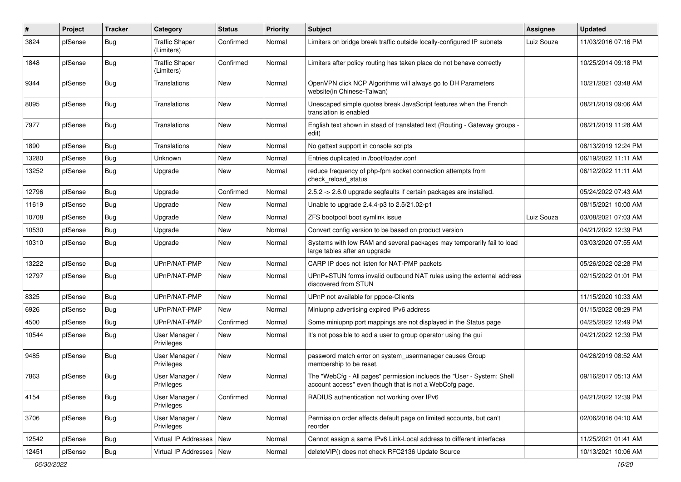| #     | Project | <b>Tracker</b> | Category                            | <b>Status</b> | <b>Priority</b> | <b>Subject</b>                                                                                                                    | <b>Assignee</b> | <b>Updated</b>      |
|-------|---------|----------------|-------------------------------------|---------------|-----------------|-----------------------------------------------------------------------------------------------------------------------------------|-----------------|---------------------|
| 3824  | pfSense | <b>Bug</b>     | <b>Traffic Shaper</b><br>(Limiters) | Confirmed     | Normal          | Limiters on bridge break traffic outside locally-configured IP subnets                                                            | Luiz Souza      | 11/03/2016 07:16 PM |
| 1848  | pfSense | Bug            | <b>Traffic Shaper</b><br>(Limiters) | Confirmed     | Normal          | Limiters after policy routing has taken place do not behave correctly                                                             |                 | 10/25/2014 09:18 PM |
| 9344  | pfSense | Bug            | Translations                        | New           | Normal          | OpenVPN click NCP Algorithms will always go to DH Parameters<br>website(in Chinese-Taiwan)                                        |                 | 10/21/2021 03:48 AM |
| 8095  | pfSense | <b>Bug</b>     | Translations                        | New           | Normal          | Unescaped simple quotes break JavaScript features when the French<br>translation is enabled                                       |                 | 08/21/2019 09:06 AM |
| 7977  | pfSense | <b>Bug</b>     | Translations                        | <b>New</b>    | Normal          | English text shown in stead of translated text (Routing - Gateway groups -<br>edit)                                               |                 | 08/21/2019 11:28 AM |
| 1890  | pfSense | <b>Bug</b>     | Translations                        | New           | Normal          | No gettext support in console scripts                                                                                             |                 | 08/13/2019 12:24 PM |
| 13280 | pfSense | <b>Bug</b>     | Unknown                             | New           | Normal          | Entries duplicated in /boot/loader.conf                                                                                           |                 | 06/19/2022 11:11 AM |
| 13252 | pfSense | <b>Bug</b>     | Upgrade                             | New           | Normal          | reduce frequency of php-fpm socket connection attempts from<br>check reload status                                                |                 | 06/12/2022 11:11 AM |
| 12796 | pfSense | <b>Bug</b>     | Upgrade                             | Confirmed     | Normal          | 2.5.2 -> 2.6.0 upgrade segfaults if certain packages are installed.                                                               |                 | 05/24/2022 07:43 AM |
| 11619 | pfSense | <b>Bug</b>     | Upgrade                             | New           | Normal          | Unable to upgrade 2.4.4-p3 to 2.5/21.02-p1                                                                                        |                 | 08/15/2021 10:00 AM |
| 10708 | pfSense | <b>Bug</b>     | Upgrade                             | New           | Normal          | ZFS bootpool boot symlink issue                                                                                                   | Luiz Souza      | 03/08/2021 07:03 AM |
| 10530 | pfSense | <b>Bug</b>     | Upgrade                             | New           | Normal          | Convert config version to be based on product version                                                                             |                 | 04/21/2022 12:39 PM |
| 10310 | pfSense | <b>Bug</b>     | Upgrade                             | New           | Normal          | Systems with low RAM and several packages may temporarily fail to load<br>large tables after an upgrade                           |                 | 03/03/2020 07:55 AM |
| 13222 | pfSense | <b>Bug</b>     | UPnP/NAT-PMP                        | New           | Normal          | CARP IP does not listen for NAT-PMP packets                                                                                       |                 | 05/26/2022 02:28 PM |
| 12797 | pfSense | Bug            | UPnP/NAT-PMP                        | New           | Normal          | UPnP+STUN forms invalid outbound NAT rules using the external address<br>discovered from STUN                                     |                 | 02/15/2022 01:01 PM |
| 8325  | pfSense | Bug            | UPnP/NAT-PMP                        | New           | Normal          | UPnP not available for pppoe-Clients                                                                                              |                 | 11/15/2020 10:33 AM |
| 6926  | pfSense | <b>Bug</b>     | UPnP/NAT-PMP                        | New           | Normal          | Miniupnp advertising expired IPv6 address                                                                                         |                 | 01/15/2022 08:29 PM |
| 4500  | pfSense | <b>Bug</b>     | UPnP/NAT-PMP                        | Confirmed     | Normal          | Some miniupnp port mappings are not displayed in the Status page                                                                  |                 | 04/25/2022 12:49 PM |
| 10544 | pfSense | <b>Bug</b>     | User Manager /<br>Privileges        | New           | Normal          | It's not possible to add a user to group operator using the gui                                                                   |                 | 04/21/2022 12:39 PM |
| 9485  | pfSense | <b>Bug</b>     | User Manager /<br>Privileges        | New           | Normal          | password match error on system_usermanager causes Group<br>membership to be reset.                                                |                 | 04/26/2019 08:52 AM |
| 7863  | pfSense | <b>Bug</b>     | User Manager /<br>Privileges        | New           | Normal          | The "WebCfg - All pages" permission inclueds the "User - System: Shell<br>account access" even though that is not a WebCofg page. |                 | 09/16/2017 05:13 AM |
| 4154  | pfSense | Bug            | User Manager /<br>Privileges        | Confirmed     | Normal          | RADIUS authentication not working over IPv6                                                                                       |                 | 04/21/2022 12:39 PM |
| 3706  | pfSense | i Bug          | User Manager /<br>Privileges        | New           | Normal          | Permission order affects default page on limited accounts, but can't<br>reorder                                                   |                 | 02/06/2016 04:10 AM |
| 12542 | pfSense | Bug            | Virtual IP Addresses   New          |               | Normal          | Cannot assign a same IPv6 Link-Local address to different interfaces                                                              |                 | 11/25/2021 01:41 AM |
| 12451 | pfSense | <b>Bug</b>     | Virtual IP Addresses   New          |               | Normal          | deleteVIP() does not check RFC2136 Update Source                                                                                  |                 | 10/13/2021 10:06 AM |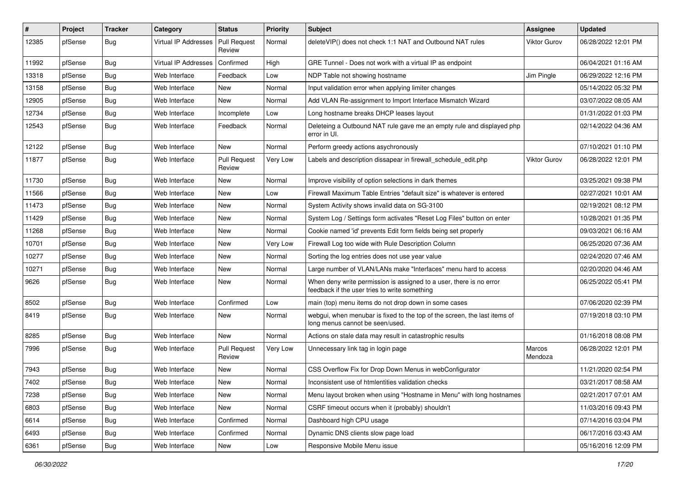| #     | Project | <b>Tracker</b> | Category                    | <b>Status</b>                 | <b>Priority</b> | <b>Subject</b>                                                                                                       | <b>Assignee</b>     | <b>Updated</b>      |
|-------|---------|----------------|-----------------------------|-------------------------------|-----------------|----------------------------------------------------------------------------------------------------------------------|---------------------|---------------------|
| 12385 | pfSense | <b>Bug</b>     | Virtual IP Addresses        | <b>Pull Request</b><br>Review | Normal          | deleteVIP() does not check 1:1 NAT and Outbound NAT rules                                                            | <b>Viktor Gurov</b> | 06/28/2022 12:01 PM |
| 11992 | pfSense | Bug            | <b>Virtual IP Addresses</b> | Confirmed                     | High            | GRE Tunnel - Does not work with a virtual IP as endpoint                                                             |                     | 06/04/2021 01:16 AM |
| 13318 | pfSense | <b>Bug</b>     | Web Interface               | Feedback                      | Low             | NDP Table not showing hostname                                                                                       | Jim Pingle          | 06/29/2022 12:16 PM |
| 13158 | pfSense | Bug            | Web Interface               | New                           | Normal          | Input validation error when applying limiter changes                                                                 |                     | 05/14/2022 05:32 PM |
| 12905 | pfSense | Bug            | Web Interface               | <b>New</b>                    | Normal          | Add VLAN Re-assignment to Import Interface Mismatch Wizard                                                           |                     | 03/07/2022 08:05 AM |
| 12734 | pfSense | <b>Bug</b>     | Web Interface               | Incomplete                    | Low             | Long hostname breaks DHCP leases layout                                                                              |                     | 01/31/2022 01:03 PM |
| 12543 | pfSense | <b>Bug</b>     | Web Interface               | Feedback                      | Normal          | Deleteing a Outbound NAT rule gave me an empty rule and displayed php<br>error in UI.                                |                     | 02/14/2022 04:36 AM |
| 12122 | pfSense | <b>Bug</b>     | Web Interface               | New                           | Normal          | Perform greedy actions asychronously                                                                                 |                     | 07/10/2021 01:10 PM |
| 11877 | pfSense | <b>Bug</b>     | Web Interface               | <b>Pull Request</b><br>Review | Very Low        | Labels and description dissapear in firewall schedule edit.php                                                       | <b>Viktor Gurov</b> | 06/28/2022 12:01 PM |
| 11730 | pfSense | Bug            | Web Interface               | New                           | Normal          | Improve visibility of option selections in dark themes                                                               |                     | 03/25/2021 09:38 PM |
| 11566 | pfSense | Bug            | Web Interface               | New                           | Low             | Firewall Maximum Table Entries "default size" is whatever is entered                                                 |                     | 02/27/2021 10:01 AM |
| 11473 | pfSense | Bug            | Web Interface               | New                           | Normal          | System Activity shows invalid data on SG-3100                                                                        |                     | 02/19/2021 08:12 PM |
| 11429 | pfSense | <b>Bug</b>     | Web Interface               | New                           | Normal          | System Log / Settings form activates "Reset Log Files" button on enter                                               |                     | 10/28/2021 01:35 PM |
| 11268 | pfSense | <b>Bug</b>     | Web Interface               | New                           | Normal          | Cookie named 'id' prevents Edit form fields being set properly                                                       |                     | 09/03/2021 06:16 AM |
| 10701 | pfSense | <b>Bug</b>     | Web Interface               | <b>New</b>                    | Very Low        | Firewall Log too wide with Rule Description Column                                                                   |                     | 06/25/2020 07:36 AM |
| 10277 | pfSense | Bug            | Web Interface               | New                           | Normal          | Sorting the log entries does not use year value                                                                      |                     | 02/24/2020 07:46 AM |
| 10271 | pfSense | <b>Bug</b>     | Web Interface               | New                           | Normal          | Large number of VLAN/LANs make "Interfaces" menu hard to access                                                      |                     | 02/20/2020 04:46 AM |
| 9626  | pfSense | <b>Bug</b>     | Web Interface               | <b>New</b>                    | Normal          | When deny write permission is assigned to a user, there is no error<br>feedback if the user tries to write something |                     | 06/25/2022 05:41 PM |
| 8502  | pfSense | <b>Bug</b>     | Web Interface               | Confirmed                     | Low             | main (top) menu items do not drop down in some cases                                                                 |                     | 07/06/2020 02:39 PM |
| 8419  | pfSense | <b>Bug</b>     | Web Interface               | New                           | Normal          | webgui, when menubar is fixed to the top of the screen, the last items of<br>long menus cannot be seen/used.         |                     | 07/19/2018 03:10 PM |
| 8285  | pfSense | <b>Bug</b>     | Web Interface               | <b>New</b>                    | Normal          | Actions on stale data may result in catastrophic results                                                             |                     | 01/16/2018 08:08 PM |
| 7996  | pfSense | Bug            | Web Interface               | <b>Pull Request</b><br>Review | Very Low        | Unnecessary link tag in login page                                                                                   | Marcos<br>Mendoza   | 06/28/2022 12:01 PM |
| 7943  | pfSense | <b>Bug</b>     | Web Interface               | <b>New</b>                    | Normal          | CSS Overflow Fix for Drop Down Menus in webConfigurator                                                              |                     | 11/21/2020 02:54 PM |
| 7402  | pfSense | <b>Bug</b>     | Web Interface               | New                           | Normal          | Inconsistent use of htmlentities validation checks                                                                   |                     | 03/21/2017 08:58 AM |
| 7238  | pfSense | Bug            | Web Interface               | New                           | Normal          | Menu layout broken when using "Hostname in Menu" with long hostnames                                                 |                     | 02/21/2017 07:01 AM |
| 6803  | pfSense | <b>Bug</b>     | Web Interface               | New                           | Normal          | CSRF timeout occurs when it (probably) shouldn't                                                                     |                     | 11/03/2016 09:43 PM |
| 6614  | pfSense | Bug            | Web Interface               | Confirmed                     | Normal          | Dashboard high CPU usage                                                                                             |                     | 07/14/2016 03:04 PM |
| 6493  | pfSense | <b>Bug</b>     | Web Interface               | Confirmed                     | Normal          | Dynamic DNS clients slow page load                                                                                   |                     | 06/17/2016 03:43 AM |
| 6361  | pfSense | <b>Bug</b>     | Web Interface               | New                           | Low             | Responsive Mobile Menu issue                                                                                         |                     | 05/16/2016 12:09 PM |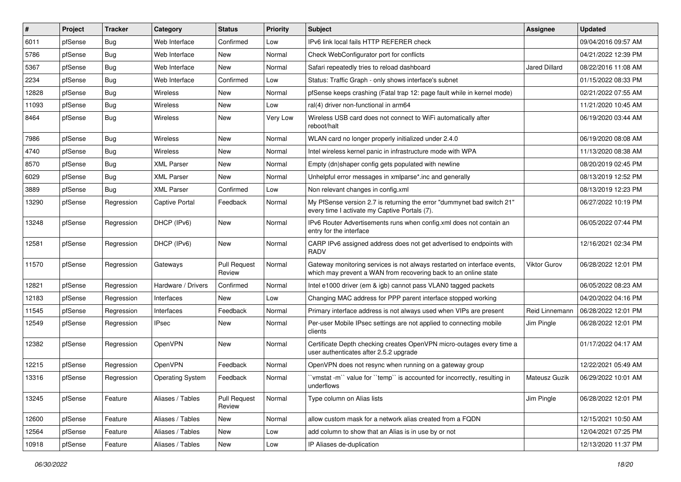| #     | Project | <b>Tracker</b> | Category                | <b>Status</b>                 | <b>Priority</b> | <b>Subject</b>                                                                                                                              | <b>Assignee</b>      | <b>Updated</b>      |
|-------|---------|----------------|-------------------------|-------------------------------|-----------------|---------------------------------------------------------------------------------------------------------------------------------------------|----------------------|---------------------|
| 6011  | pfSense | Bug            | Web Interface           | Confirmed                     | Low             | IPv6 link local fails HTTP REFERER check                                                                                                    |                      | 09/04/2016 09:57 AM |
| 5786  | pfSense | Bug            | Web Interface           | New                           | Normal          | Check WebConfigurator port for conflicts                                                                                                    |                      | 04/21/2022 12:39 PM |
| 5367  | pfSense | Bug            | Web Interface           | New                           | Normal          | Safari repeatedly tries to reload dashboard                                                                                                 | <b>Jared Dillard</b> | 08/22/2016 11:08 AM |
| 2234  | pfSense | Bug            | Web Interface           | Confirmed                     | Low             | Status: Traffic Graph - only shows interface's subnet                                                                                       |                      | 01/15/2022 08:33 PM |
| 12828 | pfSense | Bug            | Wireless                | New                           | Normal          | pfSense keeps crashing (Fatal trap 12: page fault while in kernel mode)                                                                     |                      | 02/21/2022 07:55 AM |
| 11093 | pfSense | Bug            | Wireless                | New                           | Low             | ral(4) driver non-functional in arm64                                                                                                       |                      | 11/21/2020 10:45 AM |
| 8464  | pfSense | Bug            | <b>Wireless</b>         | New                           | Very Low        | Wireless USB card does not connect to WiFi automatically after<br>reboot/halt                                                               |                      | 06/19/2020 03:44 AM |
| 7986  | pfSense | Bug            | Wireless                | <b>New</b>                    | Normal          | WLAN card no longer properly initialized under 2.4.0                                                                                        |                      | 06/19/2020 08:08 AM |
| 4740  | pfSense | Bug            | Wireless                | New                           | Normal          | Intel wireless kernel panic in infrastructure mode with WPA                                                                                 |                      | 11/13/2020 08:38 AM |
| 8570  | pfSense | <b>Bug</b>     | <b>XML Parser</b>       | New                           | Normal          | Empty (dn)shaper config gets populated with newline                                                                                         |                      | 08/20/2019 02:45 PM |
| 6029  | pfSense | Bug            | <b>XML Parser</b>       | <b>New</b>                    | Normal          | Unhelpful error messages in xmlparse*.inc and generally                                                                                     |                      | 08/13/2019 12:52 PM |
| 3889  | pfSense | Bug            | <b>XML Parser</b>       | Confirmed                     | Low             | Non relevant changes in config.xml                                                                                                          |                      | 08/13/2019 12:23 PM |
| 13290 | pfSense | Regression     | <b>Captive Portal</b>   | Feedback                      | Normal          | My PfSense version 2.7 is returning the error "dummynet bad switch 21"<br>every time I activate my Captive Portals (7).                     |                      | 06/27/2022 10:19 PM |
| 13248 | pfSense | Regression     | DHCP (IPv6)             | <b>New</b>                    | Normal          | IPv6 Router Advertisements runs when config.xml does not contain an<br>entry for the interface                                              |                      | 06/05/2022 07:44 PM |
| 12581 | pfSense | Regression     | DHCP (IPv6)             | New                           | Normal          | CARP IPv6 assigned address does not get advertised to endpoints with<br><b>RADV</b>                                                         |                      | 12/16/2021 02:34 PM |
| 11570 | pfSense | Regression     | Gateways                | <b>Pull Request</b><br>Review | Normal          | Gateway monitoring services is not always restarted on interface events,<br>which may prevent a WAN from recovering back to an online state | <b>Viktor Gurov</b>  | 06/28/2022 12:01 PM |
| 12821 | pfSense | Regression     | Hardware / Drivers      | Confirmed                     | Normal          | Intel e1000 driver (em & igb) cannot pass VLAN0 tagged packets                                                                              |                      | 06/05/2022 08:23 AM |
| 12183 | pfSense | Regression     | Interfaces              | New                           | Low             | Changing MAC address for PPP parent interface stopped working                                                                               |                      | 04/20/2022 04:16 PM |
| 11545 | pfSense | Regression     | Interfaces              | Feedback                      | Normal          | Primary interface address is not always used when VIPs are present                                                                          | Reid Linnemann       | 06/28/2022 12:01 PM |
| 12549 | pfSense | Regression     | IPsec                   | New                           | Normal          | Per-user Mobile IPsec settings are not applied to connecting mobile<br>clients                                                              | Jim Pingle           | 06/28/2022 12:01 PM |
| 12382 | pfSense | Regression     | OpenVPN                 | <b>New</b>                    | Normal          | Certificate Depth checking creates OpenVPN micro-outages every time a<br>user authenticates after 2.5.2 upgrade                             |                      | 01/17/2022 04:17 AM |
| 12215 | pfSense | Regression     | OpenVPN                 | Feedback                      | Normal          | OpenVPN does not resync when running on a gateway group                                                                                     |                      | 12/22/2021 05:49 AM |
| 13316 | pfSense | Regression     | <b>Operating System</b> | Feedback                      | Normal          | 'vmstat -m'' value for ''temp'' is accounted for incorrectly, resulting in<br>underflows                                                    | <b>Mateusz Guzik</b> | 06/29/2022 10:01 AM |
| 13245 | pfSense | Feature        | Aliases / Tables        | <b>Pull Request</b><br>Review | Normal          | Type column on Alias lists                                                                                                                  | Jim Pingle           | 06/28/2022 12:01 PM |
| 12600 | pfSense | Feature        | Aliases / Tables        | New                           | Normal          | allow custom mask for a network alias created from a FQDN                                                                                   |                      | 12/15/2021 10:50 AM |
| 12564 | pfSense | Feature        | Aliases / Tables        | New                           | Low             | add column to show that an Alias is in use by or not                                                                                        |                      | 12/04/2021 07:25 PM |
| 10918 | pfSense | Feature        | Aliases / Tables        | New                           | Low             | IP Aliases de-duplication                                                                                                                   |                      | 12/13/2020 11:37 PM |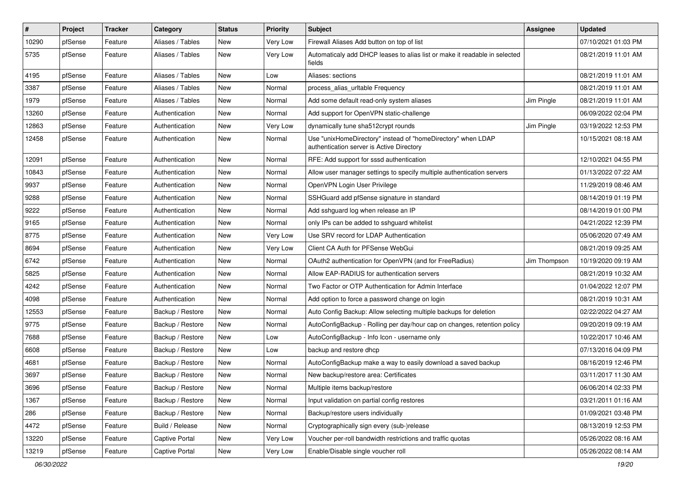| $\vert$ # | Project | <b>Tracker</b> | Category         | <b>Status</b> | <b>Priority</b> | Subject                                                                                                   | Assignee     | <b>Updated</b>      |
|-----------|---------|----------------|------------------|---------------|-----------------|-----------------------------------------------------------------------------------------------------------|--------------|---------------------|
| 10290     | pfSense | Feature        | Aliases / Tables | New           | Very Low        | Firewall Aliases Add button on top of list                                                                |              | 07/10/2021 01:03 PM |
| 5735      | pfSense | Feature        | Aliases / Tables | New           | Very Low        | Automaticaly add DHCP leases to alias list or make it readable in selected<br>fields                      |              | 08/21/2019 11:01 AM |
| 4195      | pfSense | Feature        | Aliases / Tables | New           | Low             | Aliases: sections                                                                                         |              | 08/21/2019 11:01 AM |
| 3387      | pfSense | Feature        | Aliases / Tables | New           | Normal          | process_alias_urItable Frequency                                                                          |              | 08/21/2019 11:01 AM |
| 1979      | pfSense | Feature        | Aliases / Tables | <b>New</b>    | Normal          | Add some default read-only system aliases                                                                 | Jim Pingle   | 08/21/2019 11:01 AM |
| 13260     | pfSense | Feature        | Authentication   | New           | Normal          | Add support for OpenVPN static-challenge                                                                  |              | 06/09/2022 02:04 PM |
| 12863     | pfSense | Feature        | Authentication   | New           | Very Low        | dynamically tune sha512crypt rounds                                                                       | Jim Pingle   | 03/19/2022 12:53 PM |
| 12458     | pfSense | Feature        | Authentication   | New           | Normal          | Use "unixHomeDirectory" instead of "homeDirectory" when LDAP<br>authentication server is Active Directory |              | 10/15/2021 08:18 AM |
| 12091     | pfSense | Feature        | Authentication   | New           | Normal          | RFE: Add support for sssd authentication                                                                  |              | 12/10/2021 04:55 PM |
| 10843     | pfSense | Feature        | Authentication   | New           | Normal          | Allow user manager settings to specify multiple authentication servers                                    |              | 01/13/2022 07:22 AM |
| 9937      | pfSense | Feature        | Authentication   | New           | Normal          | OpenVPN Login User Privilege                                                                              |              | 11/29/2019 08:46 AM |
| 9288      | pfSense | Feature        | Authentication   | <b>New</b>    | Normal          | SSHGuard add pfSense signature in standard                                                                |              | 08/14/2019 01:19 PM |
| 9222      | pfSense | Feature        | Authentication   | New           | Normal          | Add sshquard log when release an IP                                                                       |              | 08/14/2019 01:00 PM |
| 9165      | pfSense | Feature        | Authentication   | New           | Normal          | only IPs can be added to sshquard whitelist                                                               |              | 04/21/2022 12:39 PM |
| 8775      | pfSense | Feature        | Authentication   | New           | Very Low        | Use SRV record for LDAP Authentication                                                                    |              | 05/06/2020 07:49 AM |
| 8694      | pfSense | Feature        | Authentication   | New           | Very Low        | Client CA Auth for PFSense WebGui                                                                         |              | 08/21/2019 09:25 AM |
| 6742      | pfSense | Feature        | Authentication   | New           | Normal          | OAuth2 authentication for OpenVPN (and for FreeRadius)                                                    | Jim Thompson | 10/19/2020 09:19 AM |
| 5825      | pfSense | Feature        | Authentication   | New           | Normal          | Allow EAP-RADIUS for authentication servers                                                               |              | 08/21/2019 10:32 AM |
| 4242      | pfSense | Feature        | Authentication   | New           | Normal          | Two Factor or OTP Authentication for Admin Interface                                                      |              | 01/04/2022 12:07 PM |
| 4098      | pfSense | Feature        | Authentication   | New           | Normal          | Add option to force a password change on login                                                            |              | 08/21/2019 10:31 AM |
| 12553     | pfSense | Feature        | Backup / Restore | New           | Normal          | Auto Config Backup: Allow selecting multiple backups for deletion                                         |              | 02/22/2022 04:27 AM |
| 9775      | pfSense | Feature        | Backup / Restore | New           | Normal          | AutoConfigBackup - Rolling per day/hour cap on changes, retention policy                                  |              | 09/20/2019 09:19 AM |
| 7688      | pfSense | Feature        | Backup / Restore | New           | Low             | AutoConfigBackup - Info Icon - username only                                                              |              | 10/22/2017 10:46 AM |
| 6608      | pfSense | Feature        | Backup / Restore | New           | Low             | backup and restore dhcp                                                                                   |              | 07/13/2016 04:09 PM |
| 4681      | pfSense | Feature        | Backup / Restore | New           | Normal          | AutoConfigBackup make a way to easily download a saved backup                                             |              | 08/16/2019 12:46 PM |
| 3697      | pfSense | Feature        | Backup / Restore | New           | Normal          | New backup/restore area: Certificates                                                                     |              | 03/11/2017 11:30 AM |
| 3696      | pfSense | Feature        | Backup / Restore | New           | Normal          | Multiple items backup/restore                                                                             |              | 06/06/2014 02:33 PM |
| 1367      | pfSense | Feature        | Backup / Restore | New           | Normal          | Input validation on partial config restores                                                               |              | 03/21/2011 01:16 AM |
| 286       | pfSense | Feature        | Backup / Restore | New           | Normal          | Backup/restore users individually                                                                         |              | 01/09/2021 03:48 PM |
| 4472      | pfSense | Feature        | Build / Release  | New           | Normal          | Cryptographically sign every (sub-)release                                                                |              | 08/13/2019 12:53 PM |
| 13220     | pfSense | Feature        | Captive Portal   | New           | Very Low        | Voucher per-roll bandwidth restrictions and traffic quotas                                                |              | 05/26/2022 08:16 AM |
| 13219     | pfSense | Feature        | Captive Portal   | New           | Very Low        | Enable/Disable single voucher roll                                                                        |              | 05/26/2022 08:14 AM |